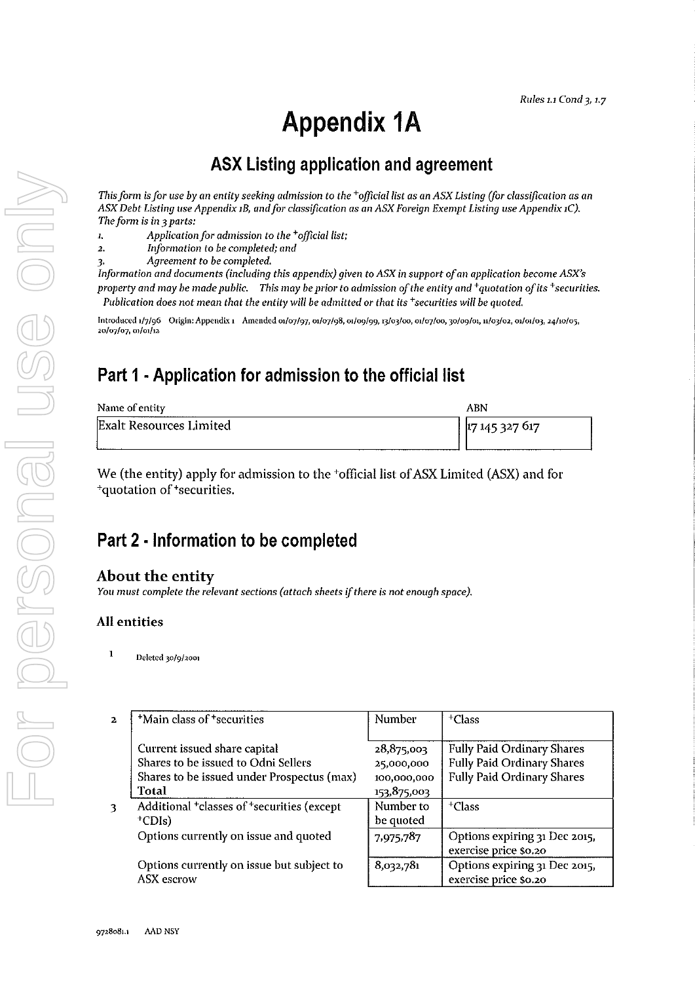# **Appendix 1A**

# ASX Listing application and agreement

*This form* is *for use by an entity seeking admission to the +officiallist as an ASK Listing (for classification as an ASX Debt Listing use Appendix 1B, and for classification as an ASX Foreign Exempt Listing use Appendix 1C). The form is in* 3 *parts:* 

- *1. Application for admission to the +officiallist;*
- *2. In/ormation to be completed; and*
- *3. Agreement to be completed.*

*Information and documents (including this appendix) given* to *ASX* in *support of* an *application become ASX's property and may be made public. This may be prior to admission of the entity and <sup>+</sup>quotation of its <sup>+</sup>securities. Publication does not mean that the entity will be admitted or that its +securities will be quoted.* 

Introduced 1/7/96 Origin: Appendix 1 Amended 01/07/97, 01/07/98, 01/09/99, 13/03/00, 01/07/00, 30/09/01, 11/03/02, 01/01/03, 24/10/05, 20/07/07,01/01/12

# Part 1 • Application for admission to the official list

| Name of entity          | ABN            |
|-------------------------|----------------|
| Exalt Resources Limited | 17 145 327 617 |

We (the entity) apply for admission to the <sup>+</sup>official list of ASX Limited (ASX) and for <sup>+</sup>quotation of <sup>+</sup>securities.

# Part 2 • Information to be completed

#### About the entity

*You must complete the relevant sections (attach sheets* if *there* is *not enough space).* 

#### All entities

 $1$  Deleted 30/9/2001

VISS ONN

| $\mathbf{2}$ | <sup>+</sup> Main class of <sup>+</sup> securities                 | Number      | $+C$ lass                                              |
|--------------|--------------------------------------------------------------------|-------------|--------------------------------------------------------|
|              | Current issued share capital                                       | 28,875,003  | <b>Fully Paid Ordinary Shares</b>                      |
|              | Shares to be issued to Odni Sellers                                | 25,000,000  | <b>Fully Paid Ordinary Shares</b>                      |
|              | Shares to be issued under Prospectus (max)                         | 100,000,000 | <b>Fully Paid Ordinary Shares</b>                      |
|              | Total                                                              | 153,875,003 |                                                        |
| 3            | Additional <sup>+</sup> classes of <sup>+</sup> securities (except | Number to   | $+C$ lass                                              |
|              | $^+CDIs)$                                                          | be quoted   |                                                        |
|              | Options currently on issue and quoted                              | 7,975,787   | Options expiring 31 Dec 2015,<br>exercise price \$0.20 |
|              | Options currently on issue but subject to<br><b>ASX</b> escrow     | 8,032,781   | Options expiring 31 Dec 2015,<br>exercise price \$0.20 |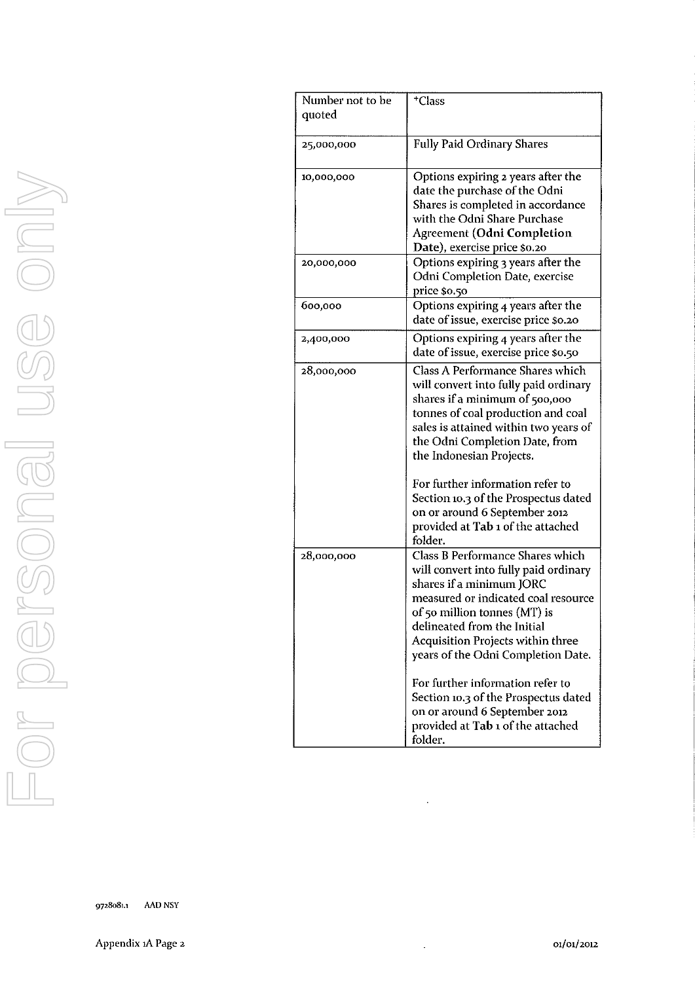| Number not to be<br>quoted | <sup>+</sup> Class                                                                                                                                                                                                                                                                                                                                                                                                                                  |
|----------------------------|-----------------------------------------------------------------------------------------------------------------------------------------------------------------------------------------------------------------------------------------------------------------------------------------------------------------------------------------------------------------------------------------------------------------------------------------------------|
| 25,000,000                 | <b>Fully Paid Ordinary Shares</b>                                                                                                                                                                                                                                                                                                                                                                                                                   |
| 10,000,000                 | Options expiring 2 years after the<br>date the purchase of the Odni<br>Shares is completed in accordance<br>with the Odni Share Purchase<br><b>Agreement (Odni Completion</b><br>Date), exercise price \$0.20                                                                                                                                                                                                                                       |
| 20,000,000                 | Options expiring 3 years after the<br>Odni Completion Date, exercise<br>price \$0.50                                                                                                                                                                                                                                                                                                                                                                |
| 600,000                    | Options expiring 4 years after the<br>date of issue, exercise price \$0.20                                                                                                                                                                                                                                                                                                                                                                          |
| 2,400,000                  | Options expiring 4 years after the<br>date of issue, exercise price \$0.50                                                                                                                                                                                                                                                                                                                                                                          |
| 28,000,000                 | Class A Performance Shares which<br>will convert into fully paid ordinary<br>shares if a minimum of 500,000<br>tonnes of coal production and coal<br>sales is attained within two years of<br>the Odni Completion Date, from<br>the Indonesian Projects.<br>For further information refer to<br>Section 10.3 of the Prospectus dated<br>on or around 6 September 2012<br>provided at Tab 1 of the attached<br>folder.                               |
| 28,000,000                 | Class B Performance Shares which<br>will convert into fully paid ordinary<br>shares if a minimum JORC<br>measured or indicated coal resource<br>of 50 million tonnes (MT) is<br>delineated from the Initial<br>Acquisition Projects within three<br>years of the Odni Completion Date.<br>For further information refer to<br>Section 10.3 of the Prospectus dated<br>on or around 6 September 2012<br>provided at Tab 1 of the attached<br>folder. |

J.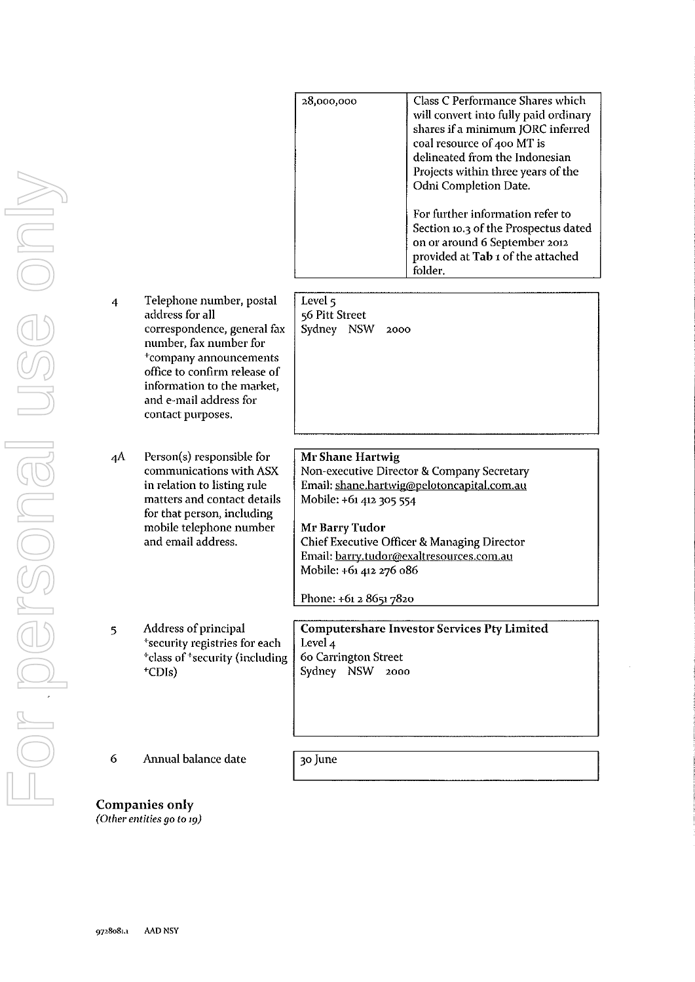|    |                                                                                                                                                                                                                                                         |                                                                                                                    | will convert into fully paid ordinary<br>shares if a minimum JORC inferred<br>coal resource of 400 MT is<br>delineated from the Indonesian<br>Projects within three years of the<br>Odni Completion Date.<br>For further information refer to<br>Section 10.3 of the Prospectus dated<br>on or around 6 September 2012<br>provided at Tab 1 of the attached<br>folder. |
|----|---------------------------------------------------------------------------------------------------------------------------------------------------------------------------------------------------------------------------------------------------------|--------------------------------------------------------------------------------------------------------------------|------------------------------------------------------------------------------------------------------------------------------------------------------------------------------------------------------------------------------------------------------------------------------------------------------------------------------------------------------------------------|
| 4  | Telephone number, postal<br>address for all<br>correspondence, general fax<br>number, fax number for<br><sup>+</sup> company announcements<br>office to confirm release of<br>information to the market,<br>and e-mail address for<br>contact purposes. | Level 5<br>56 Pitt Street<br>Sydney NSW<br>2000                                                                    |                                                                                                                                                                                                                                                                                                                                                                        |
| 4A | Person(s) responsible for<br>communications with ASX<br>in relation to listing rule<br>matters and contact details<br>for that person, including<br>mobile telephone number<br>and email address.                                                       | Mr Shane Hartwig<br>Mobile: +61 412 305 554<br>Mr Barry Tudor<br>Mobile: +61 412 276 086<br>Phone: +61 2 8651 7820 | Non-executive Director & Company Secretary<br>Email: shane.hartwig@pelotoncapital.com.au<br>Chief Executive Officer & Managing Director<br>Email: barry.tudor@exaltresources.com.au                                                                                                                                                                                    |
| 5  | Address of principal<br>*security registries for each<br><sup>+</sup> class of <sup>+</sup> security (including<br>$^+$ CDIs)                                                                                                                           | Level <sub>4</sub><br>60 Carrington Street<br>Sydney NSW 2000                                                      | <b>Computershare Investor Services Pty Limited</b>                                                                                                                                                                                                                                                                                                                     |
| 6  | Annual balance date                                                                                                                                                                                                                                     | 30 June                                                                                                            |                                                                                                                                                                                                                                                                                                                                                                        |

**28,000,000** 

Class C Performance Shares which

Companies only *(Other entities go to 19)*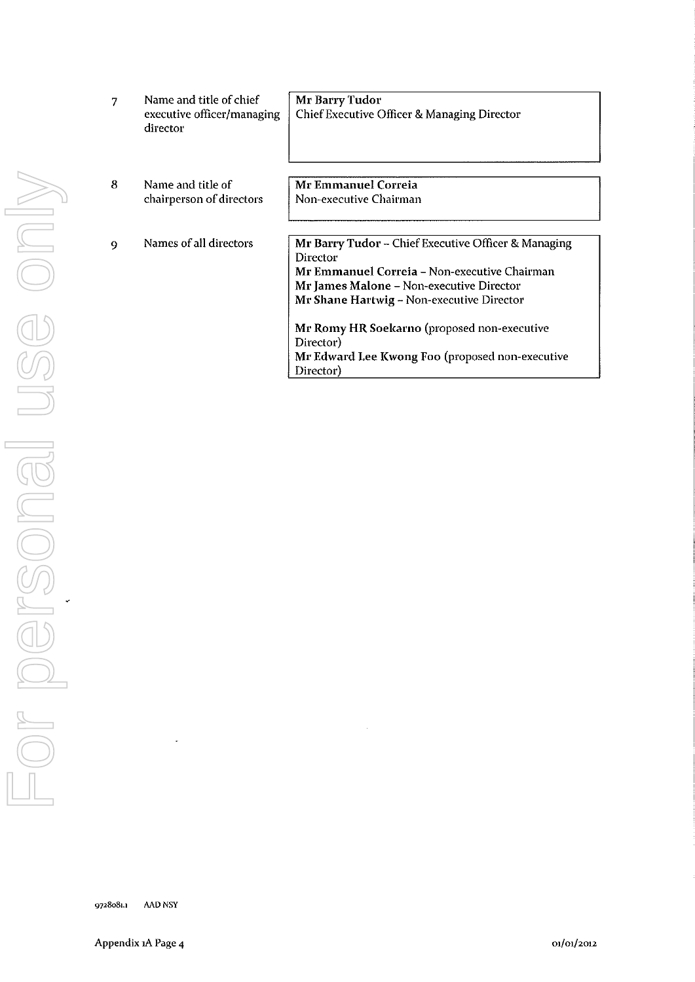| 7 | Name and title of chief<br>executive officer/managing<br>director | Mr Barry Tudor<br><b>Chief Executive Officer &amp; Managing Director</b>                                                                                                                                                                                                                                                             |
|---|-------------------------------------------------------------------|--------------------------------------------------------------------------------------------------------------------------------------------------------------------------------------------------------------------------------------------------------------------------------------------------------------------------------------|
| 8 | Name and title of<br>chairperson of directors                     | Mr Emmanuel Correia<br>Non-executive Chairman                                                                                                                                                                                                                                                                                        |
| Q | Names of all directors                                            | Mr Barry Tudor – Chief Executive Officer & Managing<br>Director<br>Mr Emmanuel Correia – Non-executive Chairman<br>Mr James Malone - Non-executive Director<br>Mr Shane Hartwig - Non-executive Director<br>Mr Romy HR Soekarno (proposed non-executive<br>Director)<br>Mr Edward Lee Kwong Foo (proposed non-executive<br>Director) |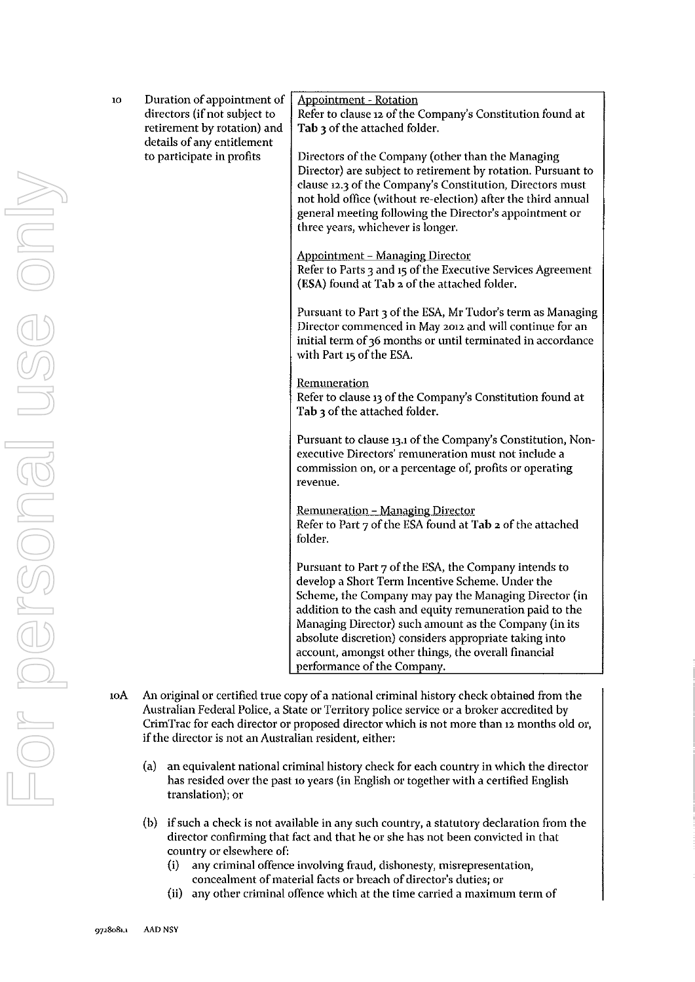| 10  | Duration of appointment of<br>directors (if not subject to<br>retirement by rotation) and | <b>Appointment - Rotation</b><br>Refer to clause 12 of the Company's Constitution found at<br>Tab 3 of the attached folder.                                                                                                                                                                                                                                                                                                              |
|-----|-------------------------------------------------------------------------------------------|------------------------------------------------------------------------------------------------------------------------------------------------------------------------------------------------------------------------------------------------------------------------------------------------------------------------------------------------------------------------------------------------------------------------------------------|
|     | details of any entitlement<br>to participate in profits                                   | Directors of the Company (other than the Managing<br>Director) are subject to retirement by rotation. Pursuant to<br>clause 12.3 of the Company's Constitution, Directors must<br>not hold office (without re-election) after the third annual<br>general meeting following the Director's appointment or<br>three years, whichever is longer.                                                                                           |
|     |                                                                                           | <b>Appointment - Managing Director</b><br>Refer to Parts 3 and 15 of the Executive Services Agreement<br>(ESA) found at Tab 2 of the attached folder.                                                                                                                                                                                                                                                                                    |
|     |                                                                                           | Pursuant to Part 3 of the ESA, Mr Tudor's term as Managing<br>Director commenced in May 2012 and will continue for an<br>initial term of 36 months or until terminated in accordance<br>with Part 15 of the ESA.                                                                                                                                                                                                                         |
|     |                                                                                           | Remuneration<br>Refer to clause 13 of the Company's Constitution found at<br>Tab 3 of the attached folder.                                                                                                                                                                                                                                                                                                                               |
|     |                                                                                           | Pursuant to clause 13.1 of the Company's Constitution, Non-<br>executive Directors' remuneration must not include a<br>commission on, or a percentage of, profits or operating<br>revenue.                                                                                                                                                                                                                                               |
|     |                                                                                           | Remuneration - Managing Director<br>Refer to Part 7 of the ESA found at Tab 2 of the attached<br>folder.                                                                                                                                                                                                                                                                                                                                 |
|     |                                                                                           | Pursuant to Part 7 of the ESA, the Company intends to<br>develop a Short Term Incentive Scheme. Under the<br>Scheme, the Company may pay the Managing Director (in<br>addition to the cash and equity remuneration paid to the<br>Managing Director) such amount as the Company (in its<br>absolute discretion) considers appropriate taking into<br>account, amongst other things, the overall financial<br>performance of the Company. |
| 10A |                                                                                           | An original or certified true copy of a national criminal history check obtained from the<br>Australian Federal Police, a State or Territory police service or a broker accredited by                                                                                                                                                                                                                                                    |

- CrimTrac for each director or proposed director which is not more than 12 months old or, if the director is not an Australian resident, either:
	- (a) an equivalent national criminal history check for each country in which the director has resided over the past 10 years (in English or together with a certified English translation); or
	- (b) if such a check is not available in any such country, a statutory declaration from the director confirming that fact and that he or she has not been convicted in that country or elsewhere of:
		- (i) any criminal offence involving fraud, dishonesty, misrepresentation, concealment of material facts or breach of director's duties; or
		- (ii) any other criminal offence which at the time carried a maximum term of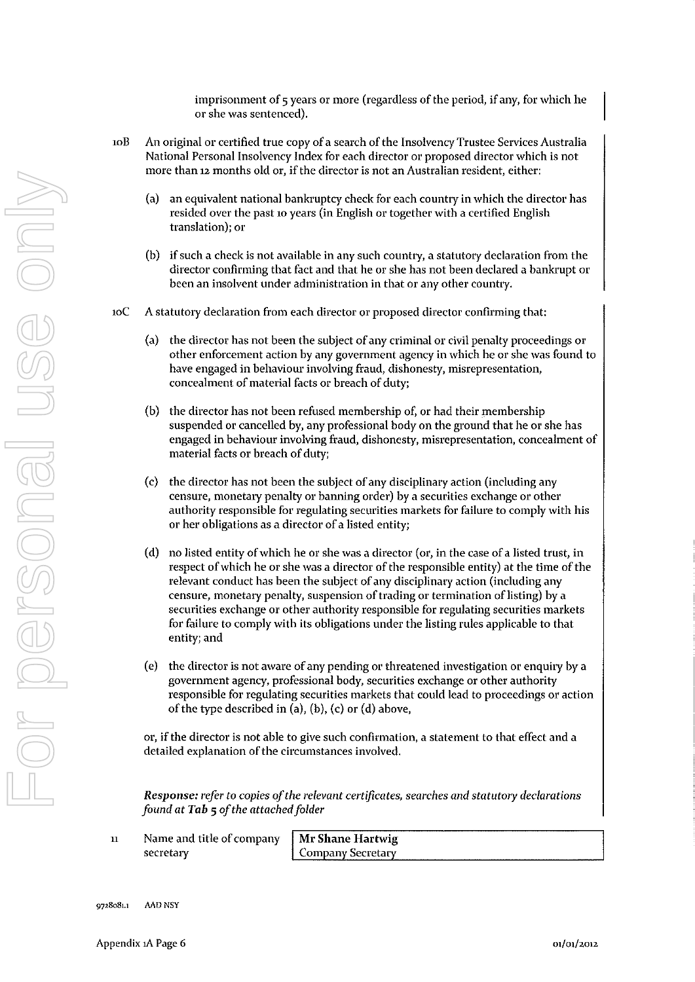imprisonment of 5 years or more (regardless of the period, if any, for which he or she was sentenced).

- 10B An original or certified true copy of a search of the Insolvency Trustee Services Australia National Personal Insolvency Index for each director or proposed director which is not more than 12 months old or, if the director is not an Australian resident, either:
	- (a) an equivalent national bankruptcy check for each country in which the director has resided over the past 10 years (in English or together with a certified English translation); or
	- (b) if such a check is not available in any such country, a statutory declaration from the director confirming that fact and that he or she has not been declared a bankrupt or been an insolvent under administration in that or any other country.
- 10C A statutory declaration from each director or proposed director confirming that:
	- (a) the director has not been the subject of any criminal or civil penalty proceedings or other enforcement action by any government agency in which he or she was found to have engaged in behaviour involving fraud, dishonesty, misrepresentation, concealment of material facts or breach of duty;
	- (b) the director has not been refused membership of, or had their membership suspended or cancelled by, any professional body on the ground that he or she has engaged in behaviour involving fraud, dishonesty, misrepresentation, concealment of material facts or breach of duty;
	- $(c)$  the director has not been the subject of any disciplinary action (including any censure, monetary penalty or banning order) by a securities exchange or other authority responsible for regulating securities markets for failure to comply with his or her obligations as a director of a listed entity;
	- (d) no listed entity of which he or she was a director (or, in the case of a listed trust, in respect of which he or she was a director of the responsible entity) at the time of the relevant conduct has been the subject of any disciplinary action (including any censure, monetary penalty, suspension of trading or termination of listing) by a securities exchange or other authority responsible for regulating securities markets for failure to comply with its obligations under the listing rules applicable to that entity; and
	- $(e)$  the director is not aware of any pending or threatened investigation or enquiry by a government agency, professional body, securities exchange or other authority responsible for regulating securities markets that could lead to proceedings or action of the type described in (a), (b), (c) or (d) above,

or, if the director is not able to give such confirmation, a statement to that effect and a detailed explanation of the circumstances involved.

*Response: refer* to *copies of the relevant certificates, searches and statutory declarations found* at *Tab* 5 *of the attached folder* 

11 Name and title of company secretary

Mr Shane Hartwig Company Secretary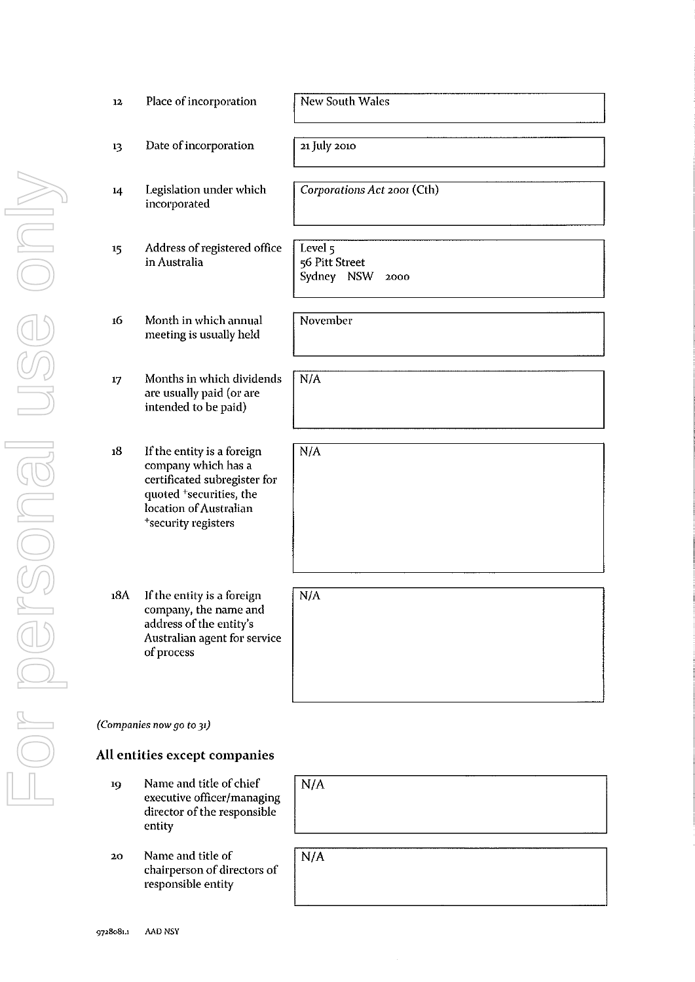| 12  | Place of incorporation                                                                                                                                                    | <b>New South Wales</b>                          |
|-----|---------------------------------------------------------------------------------------------------------------------------------------------------------------------------|-------------------------------------------------|
| 13  | Date of incorporation                                                                                                                                                     | 21 July 2010                                    |
| 14  | Legislation under which<br>incorporated                                                                                                                                   | Corporations Act 2001 (Cth)                     |
| 15  | Address of registered office<br>in Australia                                                                                                                              | Level 5<br>56 Pitt Street<br>Sydney NSW<br>2000 |
| 16  | Month in which annual<br>meeting is usually held                                                                                                                          | November                                        |
| 17  | Months in which dividends<br>are usually paid (or are<br>intended to be paid)                                                                                             | N/A                                             |
| 18  | If the entity is a foreign<br>company which has a<br>certificated subregister for<br>quoted <sup>+</sup> securities, the<br>location of Australian<br>*security registers | N/A                                             |
|     |                                                                                                                                                                           |                                                 |
| 18A | If the entity is a foreign<br>company, the name and<br>address of the entity's<br>Australian agent for service<br>of process                                              | N/A                                             |
|     |                                                                                                                                                                           |                                                 |
|     | (Companies now go to 31)                                                                                                                                                  |                                                 |
|     | All entities except companies                                                                                                                                             |                                                 |
| 19  | Name and title of chief<br>executive officer/managing                                                                                                                     | N/A                                             |

20 entity Name and title of chairperson of directors of responsible entity

director of the responsible

| N/A |  |
|-----|--|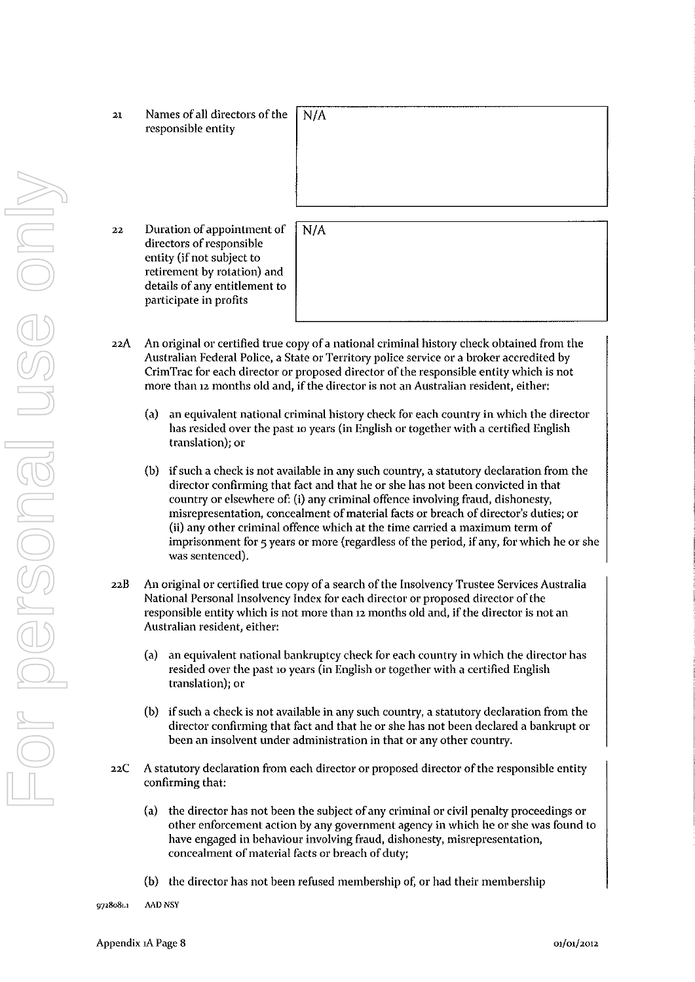- 22A An original or certified true copy of a national criminal history check obtained from the Australian Federal Police, a State or Territory police service or a broker accredited by CrimTrac for each director or proposed director of the responsible entity which is not more than 12 months old and, if the director is not an Australian resident, either:
	- (a) an equivalent national criminal history check for each country in which the director has resided over the past 10 years (in English or together with a certified English translation); or
	- (b) if such a check is not available in any such country, a statutory declaration from the director confirming that fact and that he or she has not been convicted in that country or elsewhere of: (i) any criminal offence involving fraud, dishonesty, misrepresentation, concealment of material facts or breach of director's duties; or (ii) any other criminal offence which at the time carried a maximum term of imprisonment for 5 years or more (regardless of the period, if any, for which he or she was sentenced).
- 22B An original or certified true copy of a search of the Insolvency Trustee Services Australia National Personal Insolvency Index for each director or proposed director of the responsible entity which is not more than 12 months old and, if the director is not an Australian resident, either:
	- (a) an equivalent national bankruptcy check for each country in which the director has resided over the past 10 years (in English or together with a certified English translation); or
	- (b) if such a check is not available in any such country, a statutory declaration from the director confirming that fact and that he or she has not been declared a bankrupt or been an insolvent under administration in that or any other country.
- 22C A statutory declaration from each director or proposed director of the responsible entity confirming that:
	- (a) the director has not been the subject of any criminal or civil penalty proceedings or other enforcement action by any government agency in which he or she was found to have engaged in behaviour involving fraud, dishonesty, misrepresentation, concealment of material facts or breach of duty;
	- (b) the director has not been refused membership of, or had their membership

**9728081.1 AAD NSY**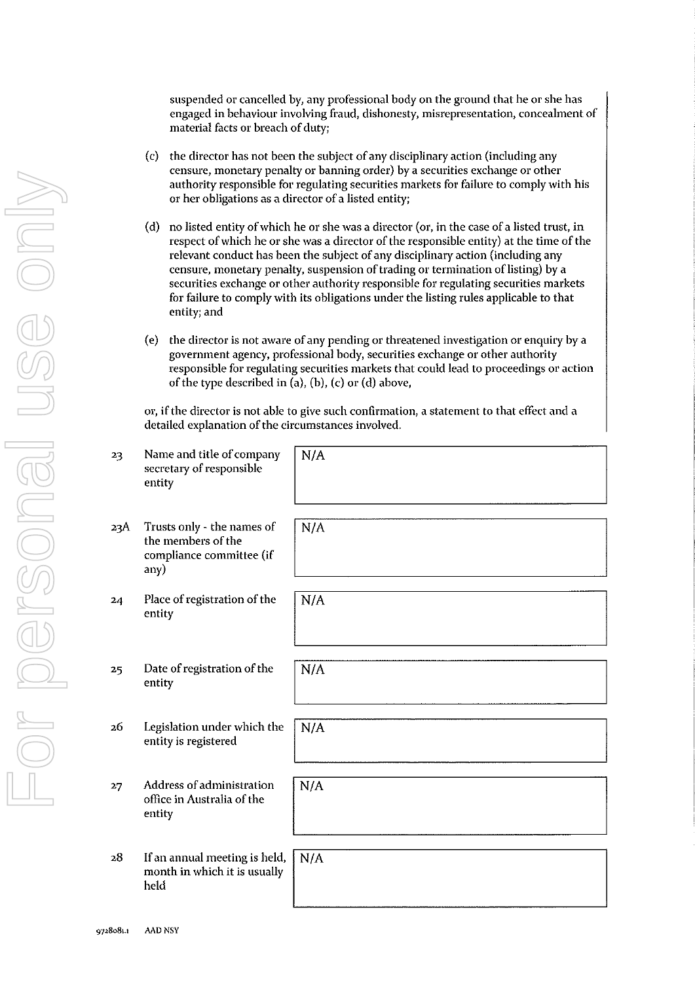suspended or cancelled by, any professional body on the ground that he or she has engaged in behaviour involving fraud, dishonesty, misrepresentation, concealment of material facts or breach of duty;

- (c) the director has not been the subject of any disciplinary action (including any censure, monetary penalty or banning order) by a securities exchange or other authority responsible for regulating securities markets for failure to comply with his or her obligations as a director of a listed entity;
- (d) no listed entity of which he or she was a director (or, in the case of a listed trust, in respect of which he or she was a director of the responsible entity) at the time of the relevant conduct has been the subject of any disciplinary action (including any censure, monetary penalty, suspension of trading or termination of listing) by a securities exchange or other authority responsible for regulating securities markets for failure to comply with its obligations under the listing rules applicable to that entity; and
- $(e)$  the director is not aware of any pending or threatened investigation or enquiry by a government agency, professional body, securities exchange or other authority responsible for regulating securities markets that could lead to proceedings or action of the type described in  $(a)$ ,  $(b)$ ,  $(c)$  or  $(d)$  above,

or, if the director is not able to give such confirmation, a statement to that effect and a detailed explanation of the circumstances involved.

| 23  | Name and title of company<br>secretary of responsible<br>entity                      | N/A |
|-----|--------------------------------------------------------------------------------------|-----|
| 23A | Trusts only - the names of<br>the members of the<br>compliance committee (if<br>any) | N/A |
| 24  | Place of registration of the<br>entity                                               | N/A |
| 25  | Date of registration of the<br>entity                                                | N/A |
| 26  | Legislation under which the<br>entity is registered                                  | N/A |
| 27  | Address of administration<br>office in Australia of the<br>entity                    | N/A |
| 28  | If an annual meeting is held,<br>month in which it is usually<br>held                | N/A |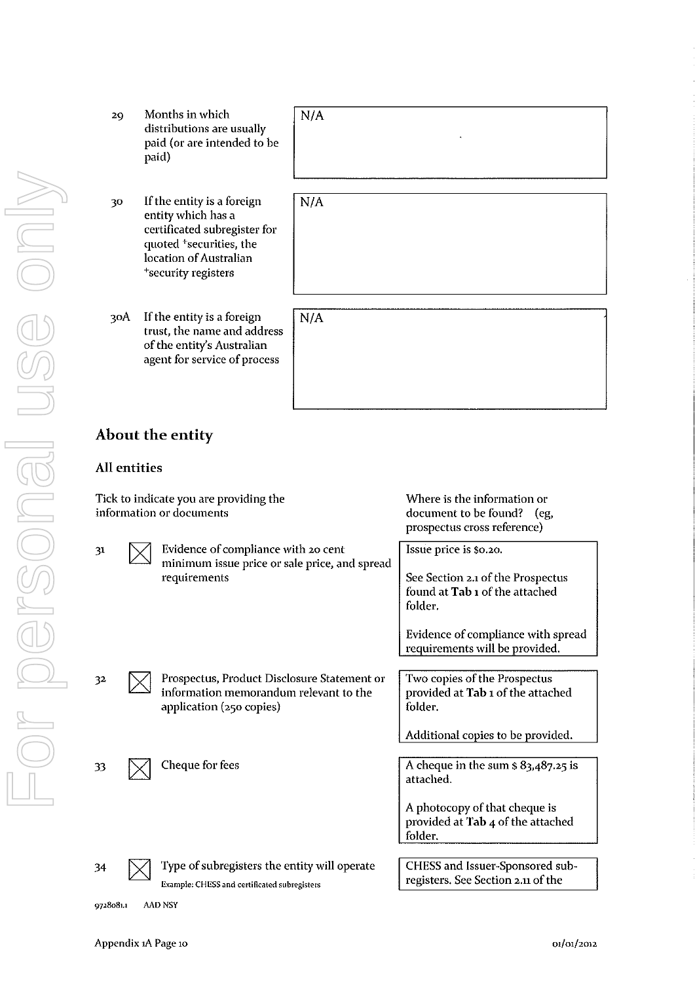| 29  | Months in which<br>distributions are usually<br>paid (or are intended to be<br>paid)                                                                                                 | N/A |
|-----|--------------------------------------------------------------------------------------------------------------------------------------------------------------------------------------|-----|
| 30  | If the entity is a foreign<br>entity which has a<br>certificated subregister for<br>quoted <sup>+</sup> securities, the<br>location of Australian<br><sup>+</sup> security registers | N/A |
| 30A | If the entity is a foreign<br>trust, the name and address<br>of the entity's Australian<br>agent for service of process                                                              | N/A |
|     | $\Lambda$ hout the entity                                                                                                                                                            |     |

## **About the entity**

# **All entities**

For personal use only

or personal

USC Only

| Tick to indicate you are providing the<br>information or documents |  |                                                                                                                   | Where is the information or<br>document to be found? (eg,<br>prospectus cross reference) |
|--------------------------------------------------------------------|--|-------------------------------------------------------------------------------------------------------------------|------------------------------------------------------------------------------------------|
| 31                                                                 |  | Evidence of compliance with 20 cent<br>minimum issue price or sale price, and spread                              | Issue price is \$0.20.                                                                   |
|                                                                    |  | requirements                                                                                                      | See Section 2.1 of the Prospectus<br>found at Tab 1 of the attached<br>folder.           |
|                                                                    |  |                                                                                                                   | Evidence of compliance with spread<br>requirements will be provided.                     |
| 32                                                                 |  | Prospectus, Product Disclosure Statement or<br>information memorandum relevant to the<br>application (250 copies) | Two copies of the Prospectus<br>provided at Tab 1 of the attached<br>folder.             |
|                                                                    |  |                                                                                                                   | Additional copies to be provided.                                                        |
| 33                                                                 |  | Cheque for fees                                                                                                   | A cheque in the sum $\frac{1}{2}$ 83,487.25 is<br>attached.                              |
|                                                                    |  |                                                                                                                   | A photocopy of that cheque is<br>provided at Tab 4 of the attached<br>folder.            |
|                                                                    |  |                                                                                                                   |                                                                                          |
| 34                                                                 |  | Type of subregisters the entity will operate<br>Example: CHESS and certificated subregisters                      | CHESS and Issuer-Sponsored sub-<br>registers. See Section 2.11 of the                    |

**9728081.1 AAD NSY**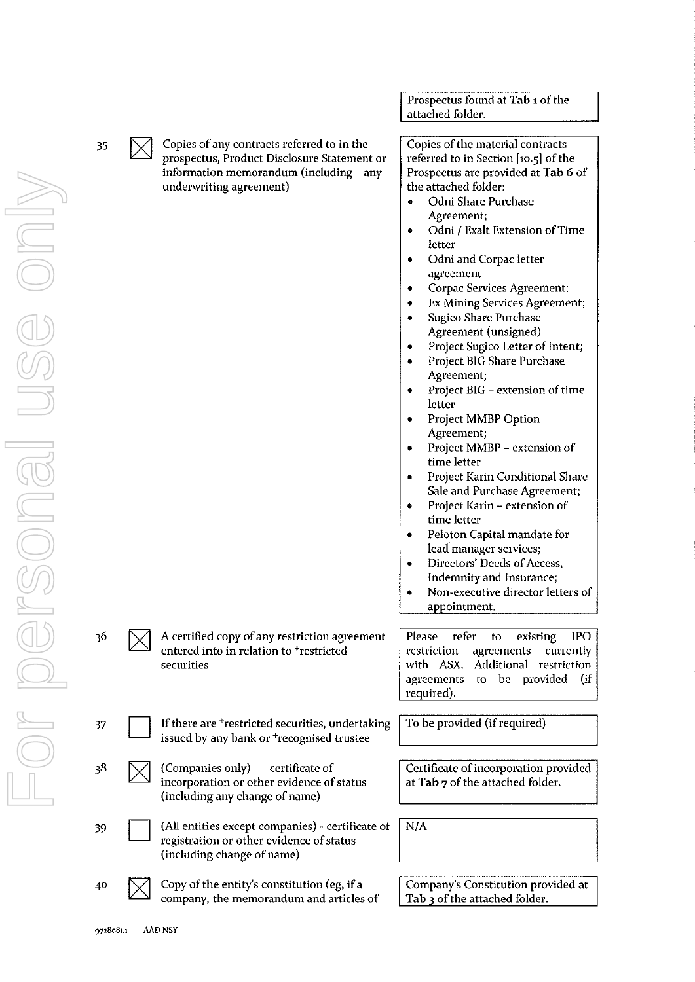|    |                                                                                                                                                                  | Prospectus found at Tab 1 of the                                                                                                                                                                                                                                                                                                                                                                                                                                                                                                                                                                                                                                                                                                                                                                                                                                                                                                                                                    |
|----|------------------------------------------------------------------------------------------------------------------------------------------------------------------|-------------------------------------------------------------------------------------------------------------------------------------------------------------------------------------------------------------------------------------------------------------------------------------------------------------------------------------------------------------------------------------------------------------------------------------------------------------------------------------------------------------------------------------------------------------------------------------------------------------------------------------------------------------------------------------------------------------------------------------------------------------------------------------------------------------------------------------------------------------------------------------------------------------------------------------------------------------------------------------|
|    |                                                                                                                                                                  | attached folder.                                                                                                                                                                                                                                                                                                                                                                                                                                                                                                                                                                                                                                                                                                                                                                                                                                                                                                                                                                    |
| 35 | Copies of any contracts referred to in the<br>prospectus, Product Disclosure Statement or<br>information memorandum (including<br>any<br>underwriting agreement) | Copies of the material contracts<br>referred to in Section [10.5] of the<br>Prospectus are provided at Tab 6 of<br>the attached folder:<br>Odni Share Purchase<br>٠<br>Agreement;<br>Odni / Exalt Extension of Time<br>۰<br>letter<br>Odni and Corpac letter<br>٠<br>agreement<br>Corpac Services Agreement;<br>٠<br><b>Ex Mining Services Agreement;</b><br>٠<br><b>Sugico Share Purchase</b><br>٠<br>Agreement (unsigned)<br>Project Sugico Letter of Intent;<br>٠<br>Project BIG Share Purchase<br>٠<br>Agreement;<br>Project BIG - extension of time<br>٠<br>letter<br>Project MMBP Option<br>٠<br>Agreement;<br>Project MMBP - extension of<br>٠<br>time letter<br>Project Karin Conditional Share<br>۰<br>Sale and Purchase Agreement;<br>Project Karin - extension of<br>۰<br>time letter<br>Peloton Capital mandate for<br>٠<br>lead manager services;<br>Directors' Deeds of Access,<br>٠<br>Indemnity and Insurance;<br>Non-executive director letters of<br>appointment. |
| 36 | A certified copy of any restriction agreement<br>entered into in relation to <sup>+</sup> restricted<br>securities                                               | Please refer<br>existing<br><b>IPO</b><br>to<br>restriction<br>agreements<br>currently<br>Additional restriction<br>with ASX.<br>to be provided<br>(i f<br>agreements<br>required).                                                                                                                                                                                                                                                                                                                                                                                                                                                                                                                                                                                                                                                                                                                                                                                                 |
| 37 | If there are <sup>+</sup> restricted securities, undertaking<br>issued by any bank or <sup>+</sup> recognised trustee                                            | To be provided (if required)                                                                                                                                                                                                                                                                                                                                                                                                                                                                                                                                                                                                                                                                                                                                                                                                                                                                                                                                                        |
| 38 | (Companies only) - certificate of<br>incorporation or other evidence of status<br>(including any change of name)                                                 | Certificate of incorporation provided<br>at Tab 7 of the attached folder.                                                                                                                                                                                                                                                                                                                                                                                                                                                                                                                                                                                                                                                                                                                                                                                                                                                                                                           |
| 39 | (All entities except companies) - certificate of<br>registration or other evidence of status<br>(including change of name)                                       | N/A                                                                                                                                                                                                                                                                                                                                                                                                                                                                                                                                                                                                                                                                                                                                                                                                                                                                                                                                                                                 |
| 40 | Copy of the entity's constitution (eg, if a<br>company, the memorandum and articles of                                                                           | Company's Constitution provided at<br>Tab 3 of the attached folder.                                                                                                                                                                                                                                                                                                                                                                                                                                                                                                                                                                                                                                                                                                                                                                                                                                                                                                                 |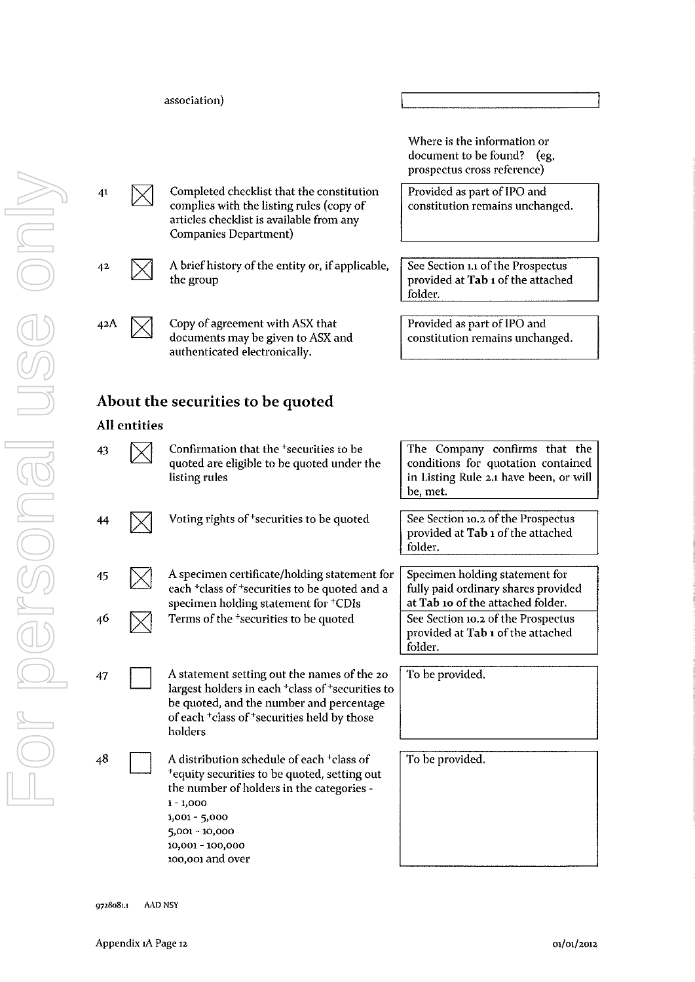|                           |     | association)                                                                                                                                                                                                                                          |                                                                                                                           |
|---------------------------|-----|-------------------------------------------------------------------------------------------------------------------------------------------------------------------------------------------------------------------------------------------------------|---------------------------------------------------------------------------------------------------------------------------|
|                           |     |                                                                                                                                                                                                                                                       | Where is the information or<br>document to be found?<br>eg,<br>prospectus cross reference)                                |
|                           | 41  | Completed checklist that the constitution<br>complies with the listing rules (copy of<br>articles checklist is available from any<br>Companies Department)                                                                                            | Provided as part of IPO and<br>constitution remains unchanged.                                                            |
|                           | 42  | A brief history of the entity or, if applicable,<br>the group                                                                                                                                                                                         | See Section 1.1 of the Prospectus<br>provided at Tab 1 of the attached<br>folder.                                         |
|                           | 42A | Copy of agreement with ASX that<br>documents may be given to ASX and<br>authenticated electronically.                                                                                                                                                 | Provided as part of IPO and<br>constitution remains unchanged.                                                            |
|                           |     | About the securities to be quoted                                                                                                                                                                                                                     |                                                                                                                           |
|                           | 43  | Confirmation that the <sup>+</sup> securities to be<br>quoted are eligible to be quoted under the<br>listing rules                                                                                                                                    | The Company confirms that the<br>conditions for quotation contained<br>in Listing Rule 2.1 have been, or will<br>be, met. |
|                           | 44  | Voting rights of <sup>+</sup> securities to be quoted                                                                                                                                                                                                 | See Section 10.2 of the Prospectus<br>provided at Tab 1 of the attached<br>folder.                                        |
|                           | 45  | A specimen certificate/holding statement for<br>each <sup>+</sup> class of <sup>+</sup> securities to be quoted and a<br>specimen holding statement for <sup>+</sup> CDIs                                                                             | Specimen holding statement for<br>fully paid ordinary shares provided<br>at Tab 10 of the attached folder.                |
|                           | 46  | Terms of the <sup>+</sup> securities to be quoted                                                                                                                                                                                                     | See Section 10.2 of the Prospectus<br>provided at Tab 1 of the attached<br>folder.                                        |
|                           | 47  | A statement setting out the names of the 20<br>largest holders in each <sup>+</sup> class of <sup>+</sup> securities to<br>be quoted, and the number and percentage<br>of each <sup>+</sup> class of <sup>+</sup> securities held by those<br>holders | To be provided.                                                                                                           |
| <b>All entities</b><br>48 |     | A distribution schedule of each <sup>+</sup> class of<br><sup>+</sup> equity securities to be quoted, setting out<br>the number of holders in the categories -                                                                                        | To be provided.                                                                                                           |

 $\lceil$ 

1 **- 1,000 1,001 - 5,000 5,001 - 10,000 10,001 - 100,000 100,001 and over**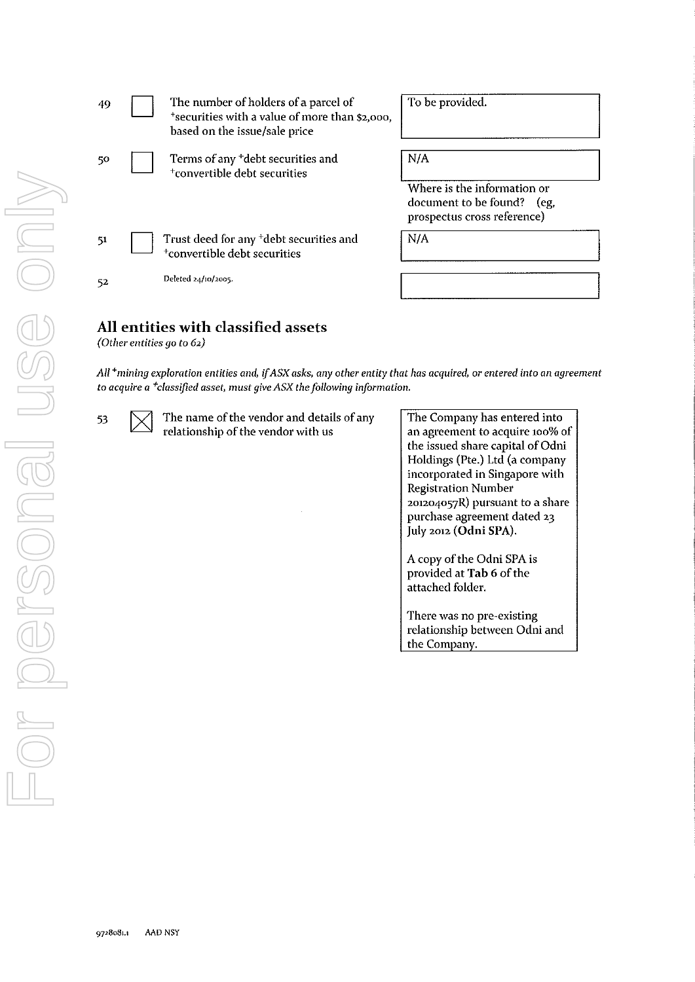| The number of holders of a parcel of<br>49<br>*securities with a value of more than \$2,000,<br>based on the issue/sale price                                                                                  | To be provided.                                                                                                                       |
|----------------------------------------------------------------------------------------------------------------------------------------------------------------------------------------------------------------|---------------------------------------------------------------------------------------------------------------------------------------|
| Terms of any <sup>+</sup> debt securities and<br>50<br><sup>+</sup> convertible debt securities                                                                                                                | N/A<br>Where is the information or                                                                                                    |
|                                                                                                                                                                                                                | document to be found?<br>(eg,<br>prospectus cross reference)                                                                          |
| Trust deed for any <sup>+</sup> debt securities and<br>51<br><sup>+</sup> convertible debt securities                                                                                                          | N/A                                                                                                                                   |
| Deleted 24/10/2005.<br>52                                                                                                                                                                                      |                                                                                                                                       |
| All entities with classified assets<br>(Other entities go to $62$ )                                                                                                                                            |                                                                                                                                       |
| All $+$ mining exploration entities and, if ASX asks, any other entity that has acquired, or entered into an agreement<br>to acquire a <sup>+</sup> classified asset, must give ASX the following information. |                                                                                                                                       |
| The name of the vendor and details of any<br>53<br>relationship of the vendor with us                                                                                                                          | The Company has entered into<br>an agreement to acquire 100% of<br>the issued share capital of Odni<br>Holdings (Pte.) Ltd (a company |

ny has entered into **an agreement to acquire 100% of**  hare capital of Odni<br>te.) Ltd (a company Holdings (Pte.) Ltd (a company incorporated in Singapore with Registration Number 201204057R) pursuant to a share purchase agreement dated 23 July 2012 (Odni SPA). A copy of the Odni SPA is

provided at Tab 6 of the attached folder.

There was no pre-existing relationship between Odni and the Company.

 $\Box$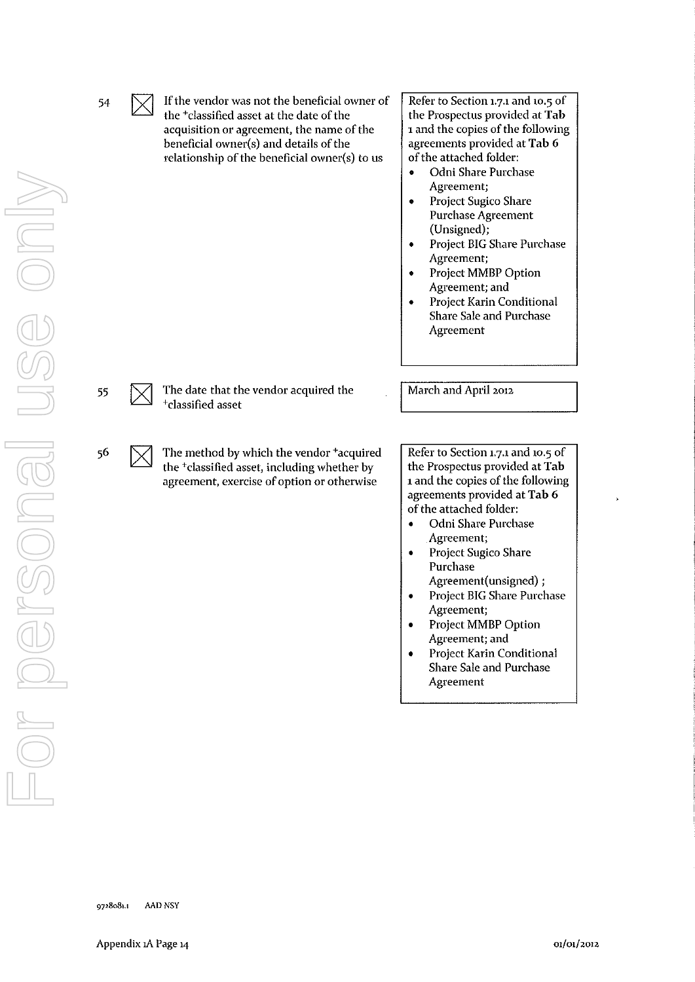|    | ∠∆ | the <sup>+</sup> classified asset at the date of the<br>acquisition or agreement, the name of the<br>beneficial owner(s) and details of the<br>relationship of the beneficial owner(s) to us | the Prospectus provided at Tab<br>1 and the copies of the following<br>agreements provided at Tab 6<br>of the attached folder:<br>Odni Share Purchase<br>Agreement;<br>Project Sugico Share<br>۰<br><b>Purchase Agreement</b><br>(Unsigned);<br>Project BIG Share Purchase<br>٠<br>Agreement;<br>Project MMBP Option<br>۰<br>Agreement; and<br>Project Karin Conditional<br>Share Sale and Purchase<br>Agreement |
|----|----|----------------------------------------------------------------------------------------------------------------------------------------------------------------------------------------------|------------------------------------------------------------------------------------------------------------------------------------------------------------------------------------------------------------------------------------------------------------------------------------------------------------------------------------------------------------------------------------------------------------------|
| 55 |    | The date that the vendor acquired the<br><sup>+</sup> classified asset                                                                                                                       | March and April 2012                                                                                                                                                                                                                                                                                                                                                                                             |
| 56 |    | The method by which the vendor +acquired<br>the <sup>+</sup> classified asset, including whether by<br>agreement, exercise of option or otherwise                                            | Refer to Section 1.7.1 and 10.5 of<br>the Prospectus provided at Tab<br>1 and the copies of the following<br>agreements provided at Tab 6<br>of the attached folder:                                                                                                                                                                                                                                             |

If the vendor was not the beneficial owner of Refer to Section 1.7.1 and 10.5 of

- Odni Share Purchase **Agreement;**
- Project Sugico Share Purchase Agreement(unsigned) ;
- Project BIG Share Purchase Agreement;
- Project MMBP Option Agreement; and
- Project Karin Conditional Share Sale and Purchase Agreement

54

For personal use only

Dersonel

JSG ONI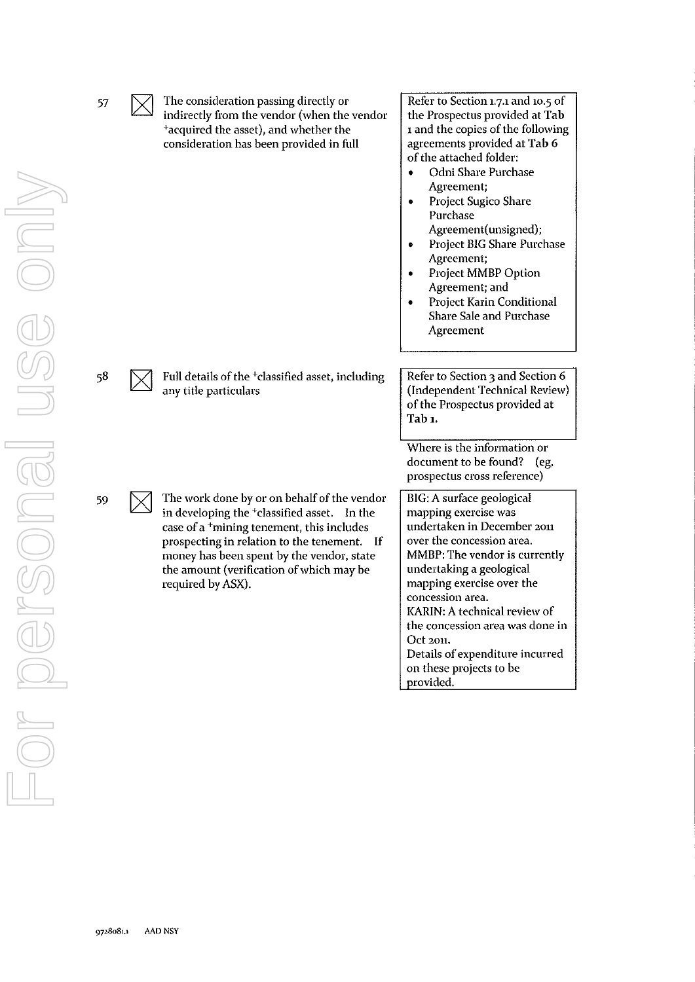| 57 | The consideration passing directly or<br>indirectly from the vendor (when the vendor<br><sup>+</sup> acquired the asset), and whether the<br>consideration has been provided in full                                                                                                                                         | Refer to Section 1.7.1 and 10.5 of<br>the Prospectus provided at Tab<br>1 and the copies of the following<br>agreements provided at Tab 6<br>of the attached folder:<br>Odni Share Purchase<br>$\bullet$<br>Agreement;<br>Project Sugico Share<br>$\bullet$<br>Purchase<br>Agreement(unsigned);<br>Project BIG Share Purchase<br>Agreement;<br>Project MMBP Option<br>Agreement; and<br>Project Karin Conditional<br><b>Share Sale and Purchase</b><br>Agreement |
|----|------------------------------------------------------------------------------------------------------------------------------------------------------------------------------------------------------------------------------------------------------------------------------------------------------------------------------|------------------------------------------------------------------------------------------------------------------------------------------------------------------------------------------------------------------------------------------------------------------------------------------------------------------------------------------------------------------------------------------------------------------------------------------------------------------|
| 58 | Full details of the <sup>+</sup> classified asset, including<br>any title particulars                                                                                                                                                                                                                                        | Refer to Section 3 and Section 6<br>(Independent Technical Review)<br>of the Prospectus provided at<br>Tab 1.                                                                                                                                                                                                                                                                                                                                                    |
|    |                                                                                                                                                                                                                                                                                                                              | Where is the information or<br>document to be found? (eg,<br>prospectus cross reference)                                                                                                                                                                                                                                                                                                                                                                         |
| 59 | The work done by or on behalf of the vendor<br>in developing the <sup>+</sup> classified asset. In the<br>case of a <sup>+</sup> mining tenement, this includes<br>prospecting in relation to the tenement. If<br>money has been spent by the vendor, state<br>the amount (verification of which may be<br>required by ASX). | BIG: A surface geological<br>mapping exercise was<br>undertaken in December 2011<br>over the concession area.<br>MMBP: The vendor is currently<br>undertaking a geological<br>mapping exercise over the<br>concession area.<br>KARIN: A technical review of<br>the concession area was done in<br>Oct 2011.<br>Details of expenditure incurred<br>on these projects to be<br>provided.                                                                           |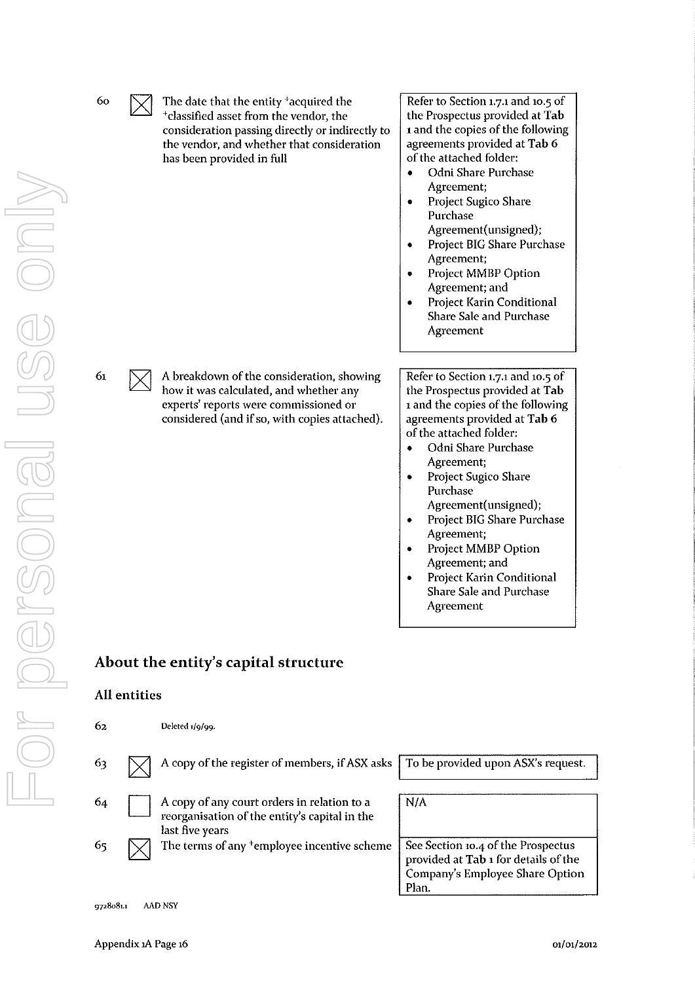| 60 | The date that the entity <sup>+</sup> acquired the<br><sup>+</sup> classified asset from the vendor, the<br>consideration passing directly or indirectly to<br>the vendor, and whether that consideration<br>has been provided in full | Refer to Section 1.7.1 and 10.5 of<br>the Prospectus provided at Tab<br>1 and the copies of the following<br>agreements provided at Tab 6<br>of the attached folder:<br>Odni Share Purchase<br>Agreement;<br>Project Sugico Share<br>٠<br>Purchase<br>Agreement(unsigned);<br>Project BIG Share Purchase<br>Agreement;<br>Project MMBP Option<br>Agreement; and<br>Project Karin Conditional<br>Share Sale and Purchase<br>Agreement        |
|----|----------------------------------------------------------------------------------------------------------------------------------------------------------------------------------------------------------------------------------------|---------------------------------------------------------------------------------------------------------------------------------------------------------------------------------------------------------------------------------------------------------------------------------------------------------------------------------------------------------------------------------------------------------------------------------------------|
| 61 | A breakdown of the consideration, showing<br>how it was calculated, and whether any<br>experts' reports were commissioned or<br>considered (and if so, with copies attached).                                                          | Refer to Section 1.7.1 and 10.5 of<br>the Prospectus provided at Tab<br>1 and the copies of the following<br>agreements provided at Tab 6<br>of the attached folder:<br>Odni Share Purchase<br>٠<br>Agreement;<br>Project Sugico Share<br>Purchase<br>Agreement(unsigned);<br>Project BIG Share Purchase<br>Agreement;<br>Project MMBP Option<br>Agreement; and<br>Project Karin Conditional<br><b>Share Sale and Purchase</b><br>Agreement |

# **About the entity's capital structure**

### All entities

| 62 | Deleted 1/9/99.                                                                                                 |                                                                                                                        |
|----|-----------------------------------------------------------------------------------------------------------------|------------------------------------------------------------------------------------------------------------------------|
| 63 | A copy of the register of members, if ASX asks   To be provided upon ASX's request.                             |                                                                                                                        |
| 64 | A copy of any court orders in relation to a<br>reorganisation of the entity's capital in the<br>last five years | N/A                                                                                                                    |
| 65 | The terms of any <sup>+</sup> employee incentive scheme                                                         | See Section 10.4 of the Prospectus<br>provided at Tab 1 for details of the<br>Company's Employee Share Option<br>Plan. |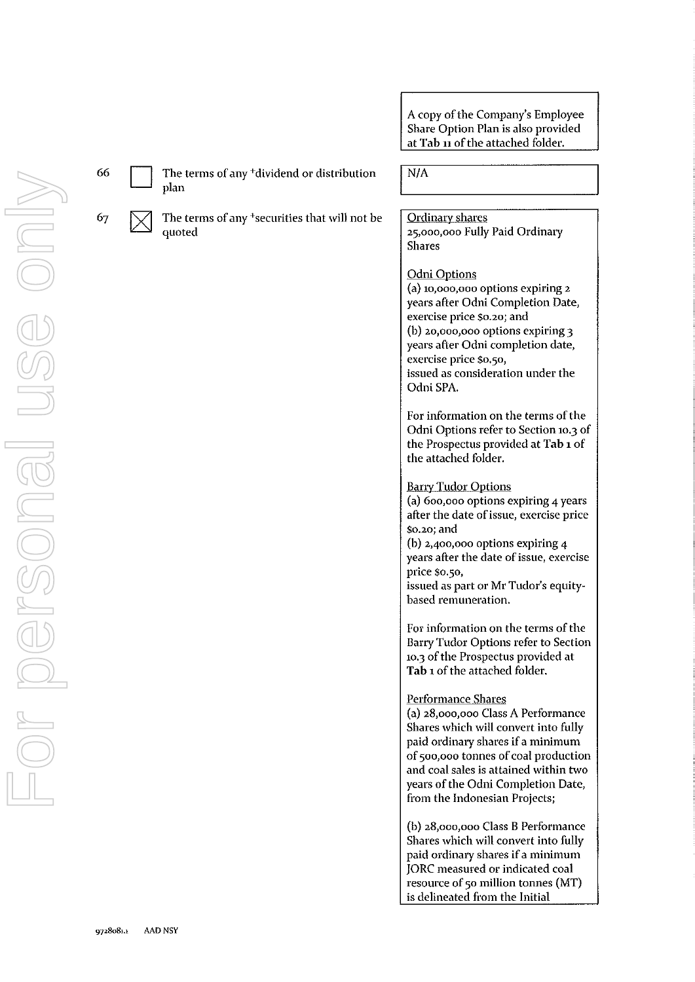

67

 $66$  The terms of any <sup>+</sup>dividend or distribution plan

> The terms of any +securities that will not be quoted

 $N/A$ 

Ordinary shares 25,000,000 Fully Paid Ordinary Shares

#### Odni Options

**(a) 10,000,000 options expiring 2**  years after Odni Completion Date, **exercise price \$0.20; and**  (b) 20,000,000 options expiring 3 years after Odni completion date, **exercise price \$0.50,**  issued as consideration under the OdniSPA.

For information on the terms of the Odni Options refer to Section 10.3 of the Prospectus provided at Tab 1 of the attached folder.

#### Barry Tudor Options

(a) 600,000 options expiring 4 years **after the date of issue, exercise price \$0.20; and**  (b)  $2,400,000$  options expiring  $4$ years after the date of issue, exercise price \$0.50,

issued as part or Mr Tudor's equity**based remuneration.** 

For information on the terms of the Barry Tudor Options refer to Section 10.3 of the Prospectus provided at Tab 1 of the attached folder.

#### Performance Shares

(a) 28,000,000 Class A Performance Shares which will convert into fully paid ordinary shares if a minimum of 500,000 tonnes of coal production and coal sales is attained within two years of the Odni Completion Date, from the Indonesian Projects;

(b) 28,000,000 Class B Performance Shares which will convert into fully paid ordinary shares if a minimum JORC measured or indicated coal resource of 50 million tonnes (MT) is delineated from the Initial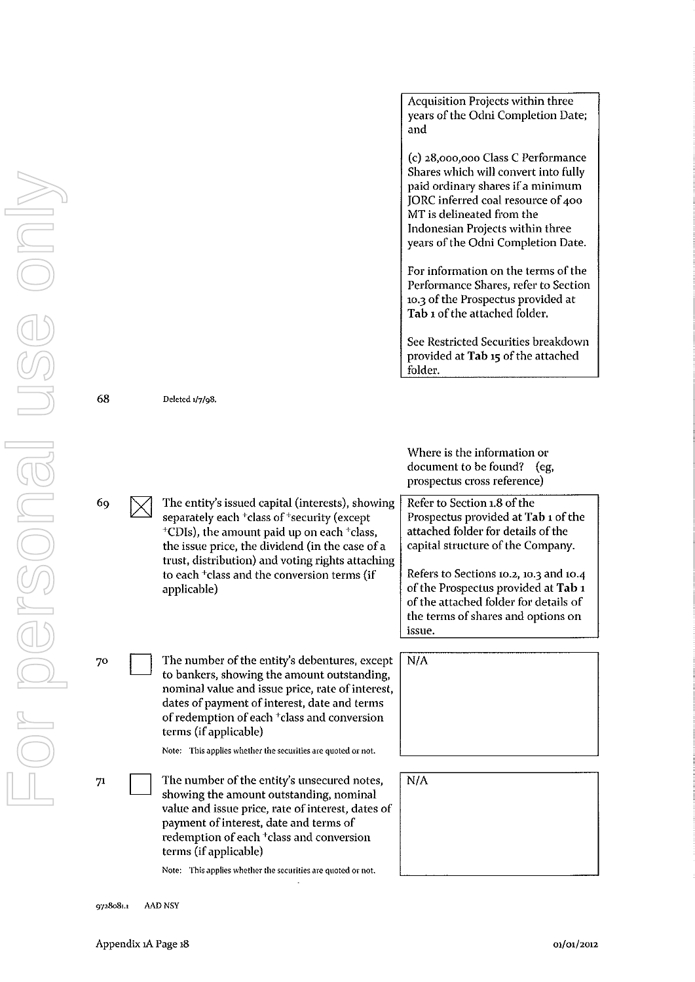68

69

70

**Deleted 117198.**  The entity's issued capital (interests), showing separately each <sup>+</sup>class of <sup>+</sup>security (except  $+$ CDIs), the amount paid up on each  $+$ class, the issue price, the dividend (in the case of a trust, distribution) and voting rights attaching to each +class and the conversion terms (if applicable) The number of the entity's debentures, except to bankers, showing the amount outstanding, **nominal value and issue price, rate of interest,**  dates of payment of interest, date and terms of redemption of each +class and conversion terms (if applicable) Acquisition Projects within three years of the Odni Completion Date; and (c) 28,000,000 Class C Performance Shares which will convert into fully paid ordinary shares if a minimum JORC inferred coal resource of 400 MT is delineated from the Indonesian Projects within three years of the Odni Completion Date. For information on the terms of the Performance Shares, refer to Section 10.3 of the Prospectus provided at Tab 1 of the attached folder. See Restricted Securities breakdown provided at Tab 15 of the attached folder. Where is the information or document to be found? (eg, prospectus cross reference) Refer to Section 1.8 of the Prospectus provided at Tab 1 of the attached folder for details of the capital structure of the Company. Refers to Sections 10.2, 10.3 and 10-4 of the Prospectus provided at **Tab** <sup>1</sup> of the attached folder for details of the terms of shares and options on **issue.**  N/A

N/A

**Note: This applies whether the securities are quoted or not.** 

 $71$ The number of the entity's unsecured notes, showing the amount outstanding, nominal **value and issue price, rate of interest, dates of**  payment of interest, date and terms of redemption of each +class and conversion terms (if applicable)

**Note: This applies whether the securities are quoted or not.** 

**9728081.1 MD NSY** 

D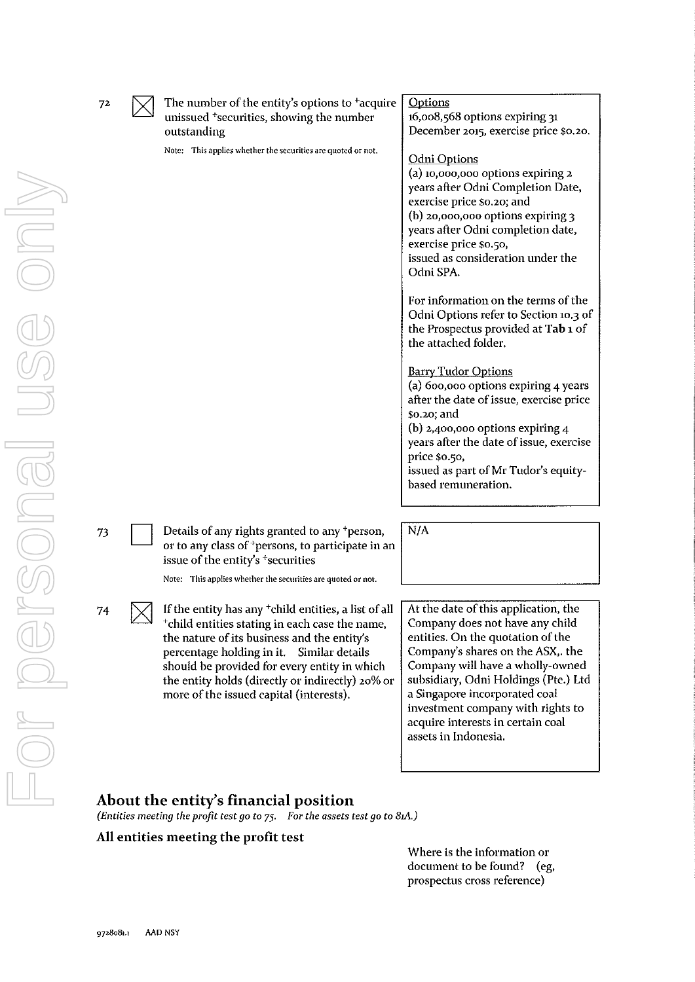| 72 | The number of the entity's options to <sup>+</sup> acquire<br>unissued <sup>+</sup> securities, showing the number<br>outstanding<br>Note: This applies whether the securities are quoted or not.                                                                                                                                                             | <b>Options</b><br>16,008,568 options expiring 31<br>December 2015, exercise price \$0.20.<br>Odni Options<br>(a) 10,000,000 options expiring 2<br>years after Odni Completion Date,<br>exercise price \$0.20; and<br>$(b)$ 20,000,000 options expiring 3<br>years after Odni completion date,<br>exercise price \$0.50,<br>issued as consideration under the<br>Odni SPA.<br>For information on the terms of the<br>Odni Options refer to Section 10.3 of<br>the Prospectus provided at Tab 1 of<br>the attached folder.<br><b>Barry Tudor Options</b><br>(a) 600,000 options expiring 4 years<br>after the date of issue, exercise price<br>\$0.20; and<br>(b) 2,400,000 options expiring $4$<br>years after the date of issue, exercise<br>price \$0.50,<br>issued as part of Mr Tudor's equity-<br>based remuneration. |
|----|---------------------------------------------------------------------------------------------------------------------------------------------------------------------------------------------------------------------------------------------------------------------------------------------------------------------------------------------------------------|---------------------------------------------------------------------------------------------------------------------------------------------------------------------------------------------------------------------------------------------------------------------------------------------------------------------------------------------------------------------------------------------------------------------------------------------------------------------------------------------------------------------------------------------------------------------------------------------------------------------------------------------------------------------------------------------------------------------------------------------------------------------------------------------------------------------------|
| 73 | Details of any rights granted to any <sup>+</sup> person,<br>or to any class of <sup>+</sup> persons, to participate in an<br>issue of the entity's <sup>+</sup> securities<br>Note: This applies whether the securities are quoted or not.                                                                                                                   | N/A                                                                                                                                                                                                                                                                                                                                                                                                                                                                                                                                                                                                                                                                                                                                                                                                                       |
| 74 | If the entity has any <sup>+</sup> child entities, a list of all<br>*child entities stating in each case the name,<br>the nature of its business and the entity's<br>percentage holding in it. Similar details<br>should be provided for every entity in which<br>the entity holds (directly or indirectly) 20% or<br>more of the issued capital (interests). | At the date of this application, the<br>Company does not have any child<br>entities. On the quotation of the<br>Company's shares on the ASX,. the<br>Company will have a wholly-owned<br>subsidiary, Odni Holdings (Pte.) Ltd<br>a Singapore incorporated coal<br>investment company with rights to<br>acquire interests in certain coal<br>assets in Indonesia.                                                                                                                                                                                                                                                                                                                                                                                                                                                          |

### About the entity's financial position

*(Entities meeting the profit test go to 75. For the assets test go to 81A.)* 

#### All entities meeting the profit test

Where is the information or document to be found? (eg, prospectus cross reference)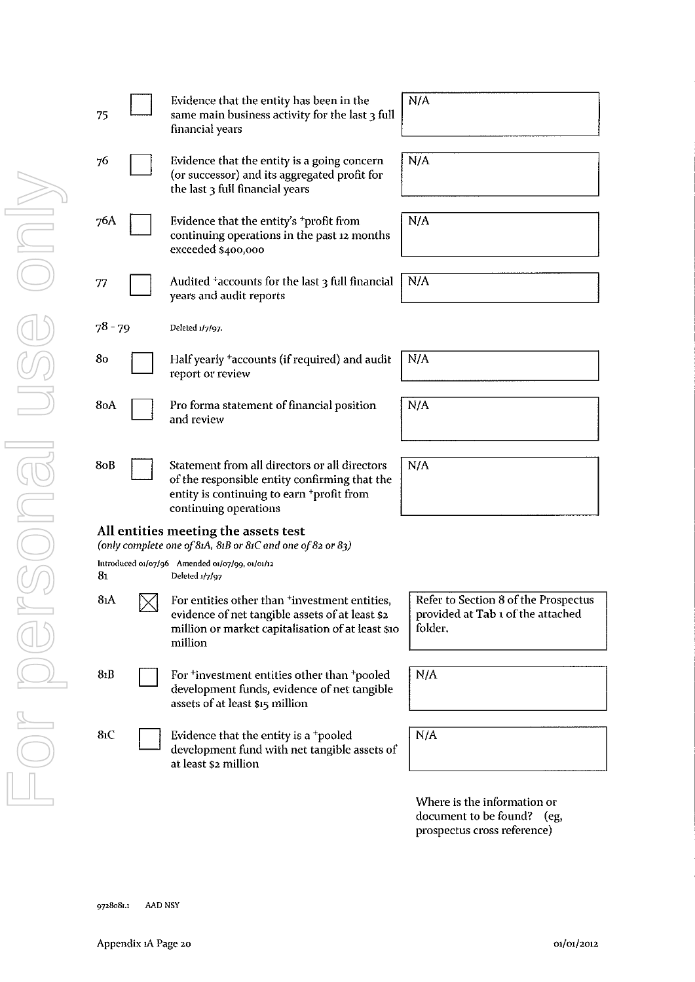| 75               | Evidence that the entity has been in the<br>same main business activity for the last 3 full<br>financial years                                                                   | N/A               |
|------------------|----------------------------------------------------------------------------------------------------------------------------------------------------------------------------------|-------------------|
| 76               | Evidence that the entity is a going concern<br>(or successor) and its aggregated profit for<br>the last 3 full financial years                                                   | N/A               |
| 76A              | Evidence that the entity's <sup>+</sup> profit from<br>continuing operations in the past 12 months<br>exceeded \$400,000                                                         | N/A               |
| 77               | Audited $\pm$ accounts for the last 3 full financial<br>years and audit reports                                                                                                  | N/A               |
| $78 - 79$        | Deleted 1/7/97.                                                                                                                                                                  |                   |
| 80               | Half yearly <sup>+</sup> accounts (if required) and audit<br>report or review                                                                                                    | N/A               |
| 8oA              | Pro forma statement of financial position<br>and review                                                                                                                          | N/A               |
| 80B              | Statement from all directors or all directors<br>of the responsible entity confirming that the<br>entity is continuing to earn <sup>+</sup> profit from<br>continuing operations | N/A               |
|                  | All entities meeting the assets test<br>(only complete one of 81A, 81B or 81C and one of 82 or 83)                                                                               |                   |
| 81               | Introduced 01/07/96 Amended 01/07/99, 01/01/12<br>Deleted 1/7/97                                                                                                                 |                   |
| 8ıA              | For entities other than 'investment entities,<br>evidence of net tangible assets of at least \$2<br>million or market capitalisation of at least \$10<br>million                 | Ref<br>pro<br>fol |
| 8 <sub>1</sub> B | For <sup>+</sup> investment entities other than <sup>+</sup> pooled<br>development funds, evidence of net tangible<br>assets of at least \$15 million                            | N/4               |
| 81C              | Evidence that the entity is a <sup>+</sup> pooled<br>development fund with net tangible assets of<br>at least \$2 million                                                        | N/4               |
|                  |                                                                                                                                                                                  | Wl<br>doc         |

| Evidence that the entity is a going concern<br>(or successor) and its aggregated profit for<br>the last 3 full financial years                                                   | N/A |
|----------------------------------------------------------------------------------------------------------------------------------------------------------------------------------|-----|
| Evidence that the entity's $+$ profit from<br>continuing operations in the past 12 months<br>exceeded \$400,000                                                                  | N/A |
| Audited <sup>+</sup> accounts for the last 3 full financial<br>years and audit reports                                                                                           | N/A |
| Deleted 1/7/97.                                                                                                                                                                  |     |
| Half yearly <sup>+</sup> accounts (if required) and audit<br>report or review                                                                                                    | N/A |
| Pro forma statement of financial position<br>and review                                                                                                                          | N/A |
| Statement from all directors or all directors<br>of the responsible entity confirming that the<br>entity is continuing to earn <sup>+</sup> profit from<br>continuing operations | N/A |
| meeting the assets test<br>$\mathbf{m}$ e of 814 - 81B or 81C and one of 82 or 82)                                                                                               |     |

### All entities meeting the assets test

Refer to Section 8 of the Prospectus provided at Tab 1 of the attached folder.

 $N/A$ 

N/A

Where is the information or document to be found? (eg, prospectus cross reference)

9728081.1 AAD NSY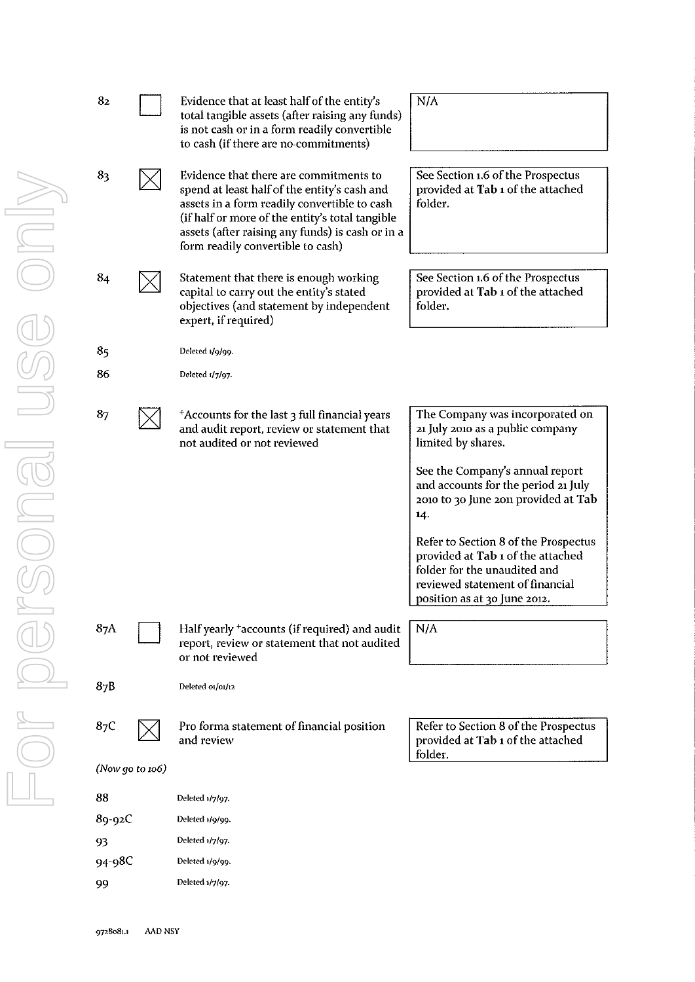| 82       |                 | Evidence that at least half of the entity's<br>total tangible assets (after raising any funds)<br>is not cash or in a form readily convertible<br>to cash (if there are no-commitments)                                                                                            | N/A                                                                                                                                                                          |
|----------|-----------------|------------------------------------------------------------------------------------------------------------------------------------------------------------------------------------------------------------------------------------------------------------------------------------|------------------------------------------------------------------------------------------------------------------------------------------------------------------------------|
| 83       |                 | Evidence that there are commitments to<br>spend at least half of the entity's cash and<br>assets in a form readily convertible to cash<br>(if half or more of the entity's total tangible<br>assets (after raising any funds) is cash or in a<br>form readily convertible to cash) | See Section 1.6 of the Prospectus<br>provided at Tab 1 of the attached<br>folder.                                                                                            |
| $\bf 84$ |                 | Statement that there is enough working<br>capital to carry out the entity's stated<br>objectives (and statement by independent<br>expert, if required)                                                                                                                             | See Section 1.6 of the Prospectus<br>provided at Tab 1 of the attached<br>folder.                                                                                            |
| 85       |                 | Deleted 1/9/99.                                                                                                                                                                                                                                                                    |                                                                                                                                                                              |
| 86       |                 | Deleted 1/7/97.                                                                                                                                                                                                                                                                    |                                                                                                                                                                              |
|          |                 |                                                                                                                                                                                                                                                                                    |                                                                                                                                                                              |
| 87       |                 | *Accounts for the last 3 full financial years<br>and audit report, review or statement that<br>not audited or not reviewed                                                                                                                                                         | The Company was incorporated on<br>21 July 2010 as a public company<br>limited by shares.                                                                                    |
|          |                 |                                                                                                                                                                                                                                                                                    | See the Company's annual report<br>and accounts for the period 21 July<br>2010 to 30 June 2011 provided at Tab<br>14.                                                        |
|          |                 |                                                                                                                                                                                                                                                                                    | Refer to Section 8 of the Prospectus<br>provided at Tab 1 of the attached<br>folder for the unaudited and<br>reviewed statement of financial<br>position as at 30 June 2012. |
| 87A      |                 | Half yearly <sup>+</sup> accounts (if required) and audit<br>report, review or statement that not audited<br>or not reviewed                                                                                                                                                       | N/A                                                                                                                                                                          |
| 87B      |                 | Deleted 01/01/12                                                                                                                                                                                                                                                                   |                                                                                                                                                                              |
| 87C      |                 | Pro forma statement of financial position<br>and review                                                                                                                                                                                                                            | Refer to Section 8 of the Prospectus<br>provided at Tab 1 of the attached<br>folder.                                                                                         |
|          | (Now go to 106) |                                                                                                                                                                                                                                                                                    |                                                                                                                                                                              |
| 88       |                 | Deleted 1/7/97.                                                                                                                                                                                                                                                                    |                                                                                                                                                                              |
| 89-92C   |                 | Deleted 1/9/99.                                                                                                                                                                                                                                                                    |                                                                                                                                                                              |
| 93       |                 | Deleted 1/7/97.                                                                                                                                                                                                                                                                    |                                                                                                                                                                              |
| 94-98C   |                 | Deleted 1/9/99.                                                                                                                                                                                                                                                                    |                                                                                                                                                                              |
| 99       |                 | Deleted 1/7/97.                                                                                                                                                                                                                                                                    |                                                                                                                                                                              |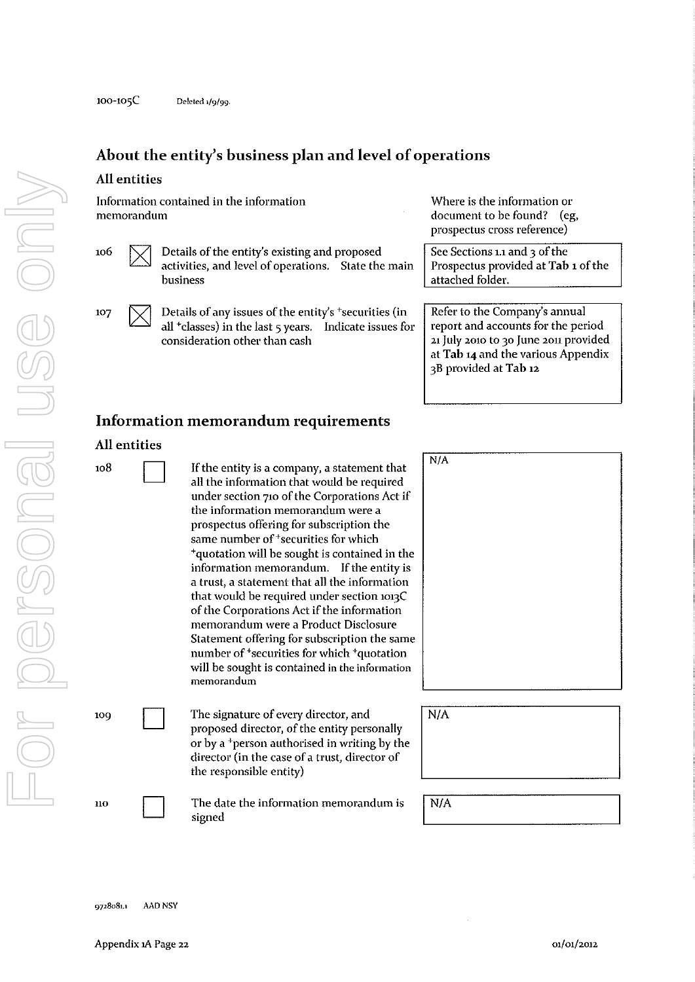### **About the entity's business plan and level of operations**

#### **All** entities

Information contained in the information **memorandum** 

- $106 \quad \boxed{\smile}$  Details of the entity's existing and proposed activities, and level of operations. State the main **business** 
	- Details of any issues of the entity's  $+$ securities (in all  $+$ classes) in the last  $\frac{1}{5}$  years. Indicate issues for all  $+$ classes) in the last  $5$  years. consideration other than cash

Where is the information or document to be found? (eg, prospectus cross reference)

See Sections 1.1 and 3 of the Prospectus provided at Tab 1 of the attached folder.

Refer to the Company's annual report and accounts for the period 21 July 2010 to 30 June 2011 provided at Tab 14 and the various Appendix 3B provided at Tab 12

### **Information memorandum requirements**

#### **All** entities

107

 $108$  If the entity is a company, a statement that all the information that would be required under section 710 of the Corporations Act if **the information memorandum were a**  prospectus offering for subscription the same number of <sup>+</sup>securities for which +quotation will be sought is contained in the **information memorandum.** If the entity is a trust, a statement that all the information that would be required under section 1013C of the Corporations Act if the information memorandum were a Product Disclosure Statement offering for subscription the same **number of+securities for which +quotation will be sought is contained in the information memorandum** 

109 **The signature of every director, and** proposed director, of the entity personally or by a +person authorised in writing by the director (in the case of a trust, director of the responsible entity)

 $110$  The date the information memorandum is signed

| N/A |  |  |  |
|-----|--|--|--|
|     |  |  |  |
|     |  |  |  |
|     |  |  |  |
|     |  |  |  |
|     |  |  |  |
|     |  |  |  |
|     |  |  |  |
|     |  |  |  |
|     |  |  |  |
|     |  |  |  |

| N/A |  |  |  |
|-----|--|--|--|
|     |  |  |  |
|     |  |  |  |
|     |  |  |  |
|     |  |  |  |

I N/A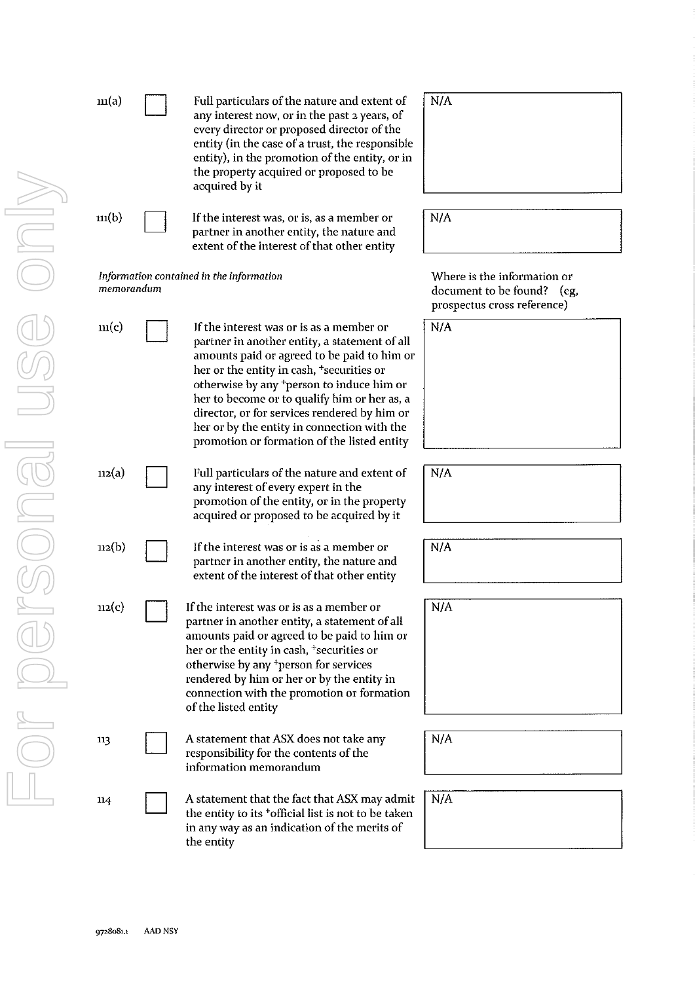| $\mathbf{m}(\mathbf{a})$ | Full particulars of the nature and extent of<br>any interest now, or in the past 2 years, of<br>every director or proposed director of the<br>entity (in the case of a trust, the responsible<br>entity), in the promotion of the entity, or in<br>the property acquired or proposed to be<br>acquired by it                                                                                                                                 | N/A                                                                                      |
|--------------------------|----------------------------------------------------------------------------------------------------------------------------------------------------------------------------------------------------------------------------------------------------------------------------------------------------------------------------------------------------------------------------------------------------------------------------------------------|------------------------------------------------------------------------------------------|
| $\mathbf{m}(\mathbf{b})$ | If the interest was, or is, as a member or<br>partner in another entity, the nature and<br>extent of the interest of that other entity                                                                                                                                                                                                                                                                                                       | N/A                                                                                      |
| memorandum               | Information contained in the information                                                                                                                                                                                                                                                                                                                                                                                                     | Where is the information or<br>document to be found? (eg,<br>prospectus cross reference) |
| m(c)                     | If the interest was or is as a member or<br>partner in another entity, a statement of all<br>amounts paid or agreed to be paid to him or<br>her or the entity in cash, <sup>+</sup> securities or<br>otherwise by any *person to induce him or<br>her to become or to qualify him or her as, a<br>director, or for services rendered by him or<br>her or by the entity in connection with the<br>promotion or formation of the listed entity | N/A                                                                                      |
| 112(a)                   | Full particulars of the nature and extent of<br>any interest of every expert in the<br>promotion of the entity, or in the property<br>acquired or proposed to be acquired by it                                                                                                                                                                                                                                                              | N/A                                                                                      |
| $n_2(b)$                 | If the interest was or is as a member or<br>partner in another entity, the nature and<br>extent of the interest of that other entity                                                                                                                                                                                                                                                                                                         | N/A                                                                                      |
| 112(c)                   | If the interest was or is as a member or<br>partner in another entity, a statement of all<br>amounts paid or agreed to be paid to him or<br>her or the entity in cash, <sup>+</sup> securities or<br>otherwise by any <sup>+</sup> person for services<br>rendered by him or her or by the entity in<br>connection with the promotion or formation<br>of the listed entity                                                                   | N/A                                                                                      |
| 113                      | A statement that ASX does not take any<br>responsibility for the contents of the<br>information memorandum                                                                                                                                                                                                                                                                                                                                   | N/A                                                                                      |
| 114                      | A statement that the fact that ASX may admit<br>the entity to its <sup>+</sup> official list is not to be taken<br>in any way as an indication of the merits of<br>the entity                                                                                                                                                                                                                                                                | N/A                                                                                      |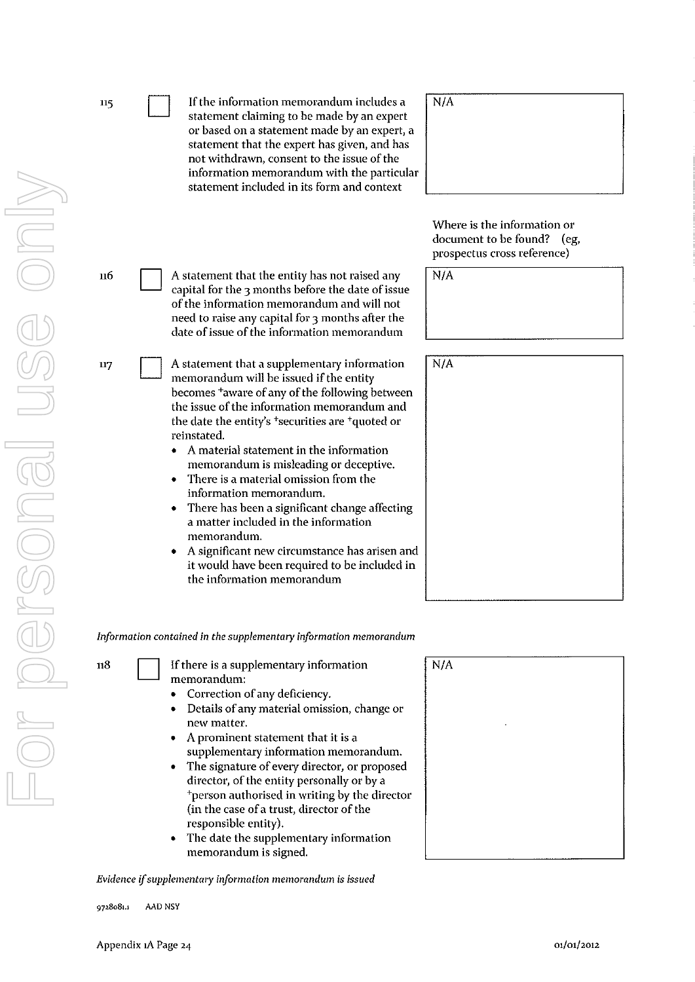| 115 | If the information memorandum includes a<br>statement claiming to be made by an expert<br>or based on a statement made by an expert, a<br>statement that the expert has given, and has<br>not withdrawn, consent to the issue of the<br>information memorandum with the particular<br>statement included in its form and context                                                                                                                                                                               | N/A                  |
|-----|----------------------------------------------------------------------------------------------------------------------------------------------------------------------------------------------------------------------------------------------------------------------------------------------------------------------------------------------------------------------------------------------------------------------------------------------------------------------------------------------------------------|----------------------|
|     |                                                                                                                                                                                                                                                                                                                                                                                                                                                                                                                | Whe<br>docu<br>prosp |
| 116 | A statement that the entity has not raised any<br>capital for the 3 months before the date of issue<br>of the information memorandum and will not<br>need to raise any capital for 3 months after the<br>date of issue of the information memorandum                                                                                                                                                                                                                                                           | N/A                  |
| 117 | A statement that a supplementary information<br>memorandum will be issued if the entity<br>becomes <sup>+</sup> aware of any of the following between<br>the issue of the information memorandum and<br>the date the entity's <sup>+</sup> securities are <sup>+</sup> quoted or<br>reinstated.<br>A material statement in the information<br>memorandum is misleading or deceptive.<br>There is a material omission from the<br>information memorandum.<br>There has been a significant change affecting<br>٠ | N/A                  |
|     | a matter included in the information<br>memorandum.<br>A significant new circumstance has arisen and<br>it would have been required to be included in<br>the information memorandum                                                                                                                                                                                                                                                                                                                            |                      |
|     | Information contained in the supplementary information memorandum                                                                                                                                                                                                                                                                                                                                                                                                                                              |                      |
| 118 | If there is a supplementary information<br>memorandum:<br>Correction of any deficiency.<br>Details of any material omission, change or<br>new matter.<br>A prominent statement that it is a<br>٠<br>supplementary information memorandum.<br>The signature of every director, or proposed<br>director, of the entity personally or by a<br>*person authorised in writing by the director<br>(in the case of a trust, director of the                                                                           | N/A                  |

responsible entity). • The date the supplementary information memorandum is signed.

*Evidence* **if** *supplementary information memorandum is issued* 

**9728081.1 AAD NSY** 

| $\overline{N/A}$ |   |  |  |
|------------------|---|--|--|
|                  |   |  |  |
|                  | ٠ |  |  |
|                  |   |  |  |
|                  |   |  |  |
|                  |   |  |  |

Where is the information or document to be found? (eg, prospectus cross reference)

| $N/\overline{A}$ |  |
|------------------|--|
|                  |  |
|                  |  |
|                  |  |
|                  |  |

| $\sqrt{\frac{N}{A}}$ |  |  |  |
|----------------------|--|--|--|
|                      |  |  |  |
|                      |  |  |  |
|                      |  |  |  |
|                      |  |  |  |
|                      |  |  |  |
|                      |  |  |  |
|                      |  |  |  |
|                      |  |  |  |
|                      |  |  |  |
|                      |  |  |  |
|                      |  |  |  |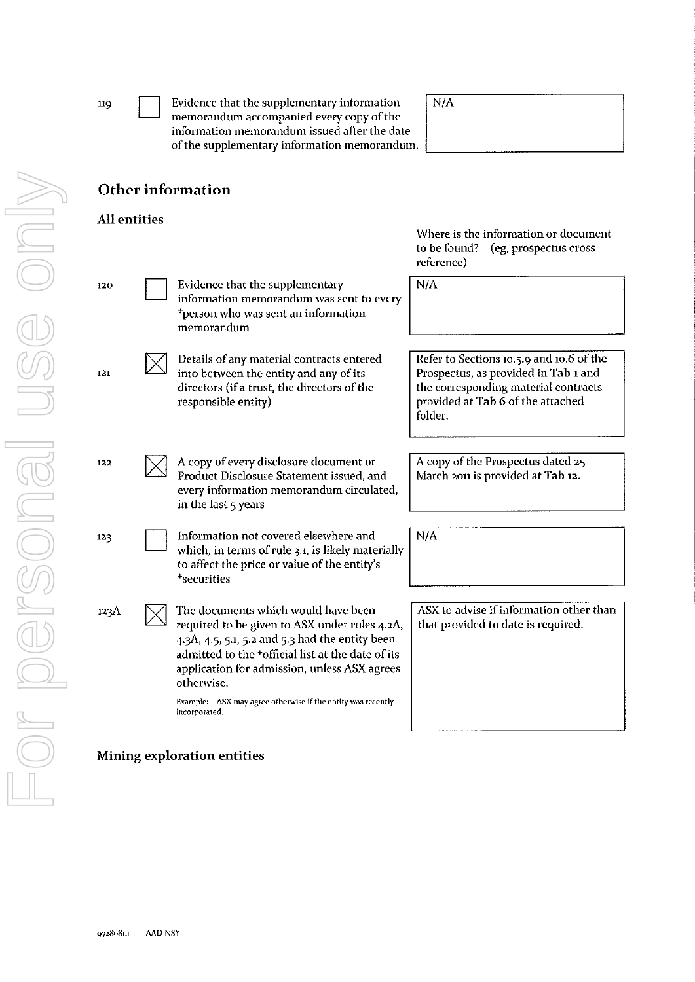| 119          | Evidence that the supplementary information<br>memorandum accompanied every copy of the<br>information memorandum issued after the date<br>of the supplementary information memorandum.                                                                                | N/A                                                                                                                                                                      |
|--------------|------------------------------------------------------------------------------------------------------------------------------------------------------------------------------------------------------------------------------------------------------------------------|--------------------------------------------------------------------------------------------------------------------------------------------------------------------------|
|              | Other information                                                                                                                                                                                                                                                      |                                                                                                                                                                          |
| All entities |                                                                                                                                                                                                                                                                        | Where is the information or document<br>to be found? (eg, prospectus cross<br>reference)                                                                                 |
| 120          | Evidence that the supplementary<br>information memorandum was sent to every<br><sup>+</sup> person who was sent an information<br>memorandum                                                                                                                           | N/A                                                                                                                                                                      |
| 121          | Details of any material contracts entered<br>into between the entity and any of its<br>directors (if a trust, the directors of the<br>responsible entity)                                                                                                              | Refer to Sections 10.5.9 and 10.6 of the<br>Prospectus, as provided in Tab 1 and<br>the corresponding material contracts<br>provided at Tab 6 of the attached<br>folder. |
| 122          | A copy of every disclosure document or<br>Product Disclosure Statement issued, and<br>every information memorandum circulated,<br>in the last 5 years                                                                                                                  | A copy of the Prospectus dated 25<br>March 2011 is provided at Tab 12.                                                                                                   |
| 123          | Information not covered elsewhere and<br>which, in terms of rule 3.1, is likely materially<br>to affect the price or value of the entity's<br><sup>+</sup> securities                                                                                                  | N/A                                                                                                                                                                      |
| 123A         | The documents which would have been<br>required to be given to ASX under rules 4.2A,<br>4.3A, 4.5, 5.1, 5.2 and 5.3 had the entity been<br>admitted to the <sup>+</sup> official list at the date of its<br>application for admission, unless ASX agrees<br>otherwise. | ASX to advise if information other than<br>that provided to date is required.                                                                                            |
|              | Example: ASX may agree otherwise if the entity was recently<br>incorporated.                                                                                                                                                                                           |                                                                                                                                                                          |
|              | Mining exploration entities                                                                                                                                                                                                                                            |                                                                                                                                                                          |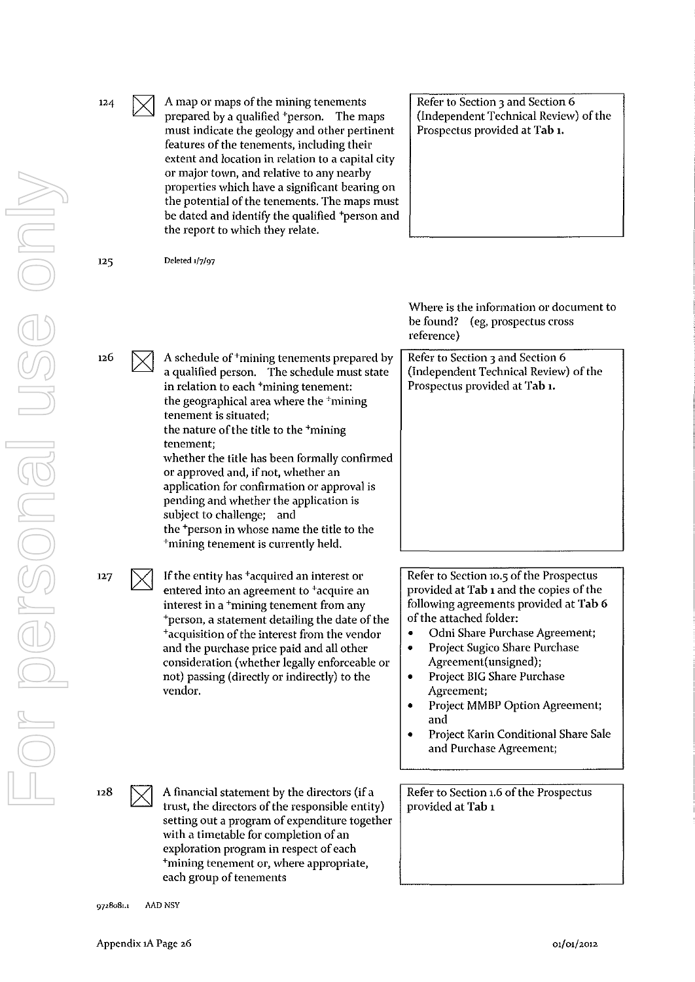| 124 | A map or maps of the mining tenements<br>prepared by a qualified *person. The maps<br>must indicate the geology and other pertinent<br>features of the tenements, including their<br>extent and location in relation to a capital city<br>or major town, and relative to any nearby<br>properties which have a significant bearing on<br>the potential of the tenements. The maps must<br>be dated and identify the qualified <sup>+</sup> person and<br>the report to which they relate.                                                                                                                                     | Refer to Section 3 and Section 6<br>(Independent Technical Review) of the<br>Prospectus provided at Tab 1.                                                                                                                                                                                                                                                                     |
|-----|-------------------------------------------------------------------------------------------------------------------------------------------------------------------------------------------------------------------------------------------------------------------------------------------------------------------------------------------------------------------------------------------------------------------------------------------------------------------------------------------------------------------------------------------------------------------------------------------------------------------------------|--------------------------------------------------------------------------------------------------------------------------------------------------------------------------------------------------------------------------------------------------------------------------------------------------------------------------------------------------------------------------------|
| 125 | Deleted 1/7/97                                                                                                                                                                                                                                                                                                                                                                                                                                                                                                                                                                                                                |                                                                                                                                                                                                                                                                                                                                                                                |
|     |                                                                                                                                                                                                                                                                                                                                                                                                                                                                                                                                                                                                                               | Where is the information or document to<br>be found?<br>(eg, prospectus cross)<br>reference)                                                                                                                                                                                                                                                                                   |
| 126 | A schedule of <sup>+</sup> mining tenements prepared by<br>a qualified person. The schedule must state<br>in relation to each <sup>+</sup> mining tenement:<br>the geographical area where the <sup>+</sup> mining<br>tenement is situated;<br>the nature of the title to the <sup>+</sup> mining<br>tenement;<br>whether the title has been formally confirmed<br>or approved and, if not, whether an<br>application for confirmation or approval is<br>pending and whether the application is<br>subject to challenge; and<br>the <sup>+</sup> person in whose name the title to the<br>*mining tenement is currently held. | Refer to Section 3 and Section 6<br>(Independent Technical Review) of the<br>Prospectus provided at Tab 1.                                                                                                                                                                                                                                                                     |
| 127 | If the entity has <sup>+</sup> acquired an interest or                                                                                                                                                                                                                                                                                                                                                                                                                                                                                                                                                                        | Refer to Section 10.5 of the Prospectus                                                                                                                                                                                                                                                                                                                                        |
|     | entered into an agreement to <sup>+</sup> acquire an<br>interest in a <sup>+</sup> mining tenement from any<br>*person, a statement detailing the date of the<br>*acquisition of the interest from the vendor<br>and the purchase price paid and all other<br>consideration (whether legally enforceable or<br>not) passing (directly or indirectly) to the<br>vendor.                                                                                                                                                                                                                                                        | provided at Tab 1 and the copies of the<br>following agreements provided at Tab 6<br>of the attached folder:<br>Odni Share Purchase Agreement;<br>٠<br>Project Sugico Share Purchase<br>٠<br>Agreement(unsigned);<br>Project BIG Share Purchase<br>٠<br>Agreement;<br>Project MMBP Option Agreement;<br>and<br>Project Karin Conditional Share Sale<br>and Purchase Agreement; |
| 128 | A financial statement by the directors (if a<br>trust, the directors of the responsible entity)<br>setting out a program of expenditure together<br>with a timetable for completion of an<br>exploration program in respect of each<br><sup>+</sup> mining tenement or, where appropriate,<br>each group of tenements                                                                                                                                                                                                                                                                                                         | Refer to Section 1.6 of the Prospectus<br>provided at Tab 1                                                                                                                                                                                                                                                                                                                    |

**9728081.1 AAD NSY**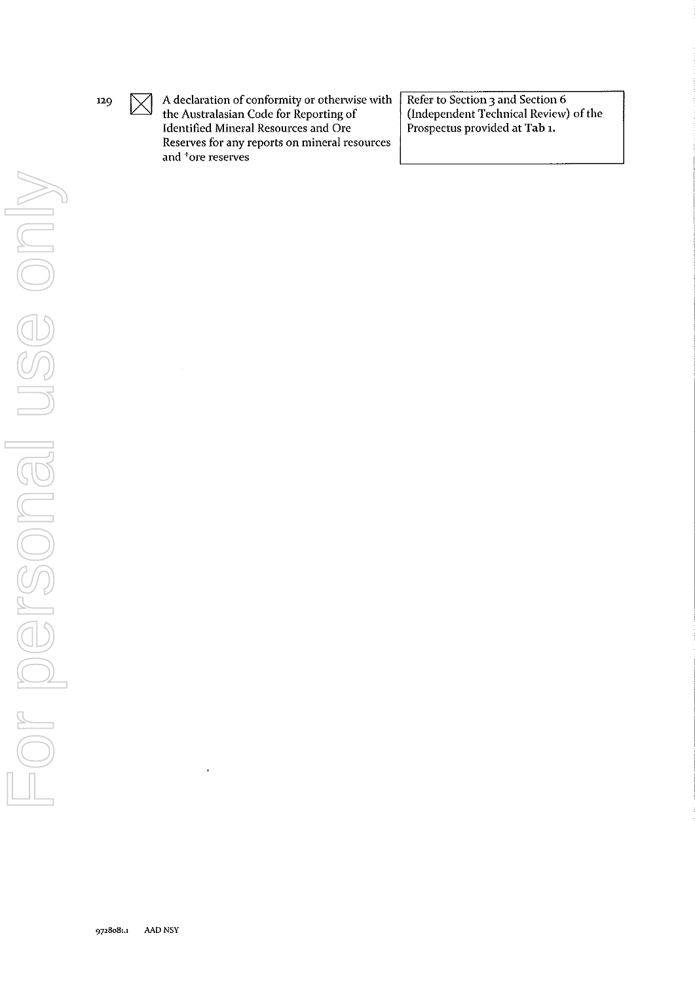

 $\boxtimes$ 

A declaration of conformity or othenvise with the Australasian Code for Reporting of Identified Mineral Resources and Ore **Reserves for any reports on mineral resources and + ore reserves** 

Refer to Section 3 and Section 6 (Independent Technical Review) of the Prospectus provided at Tab **1.**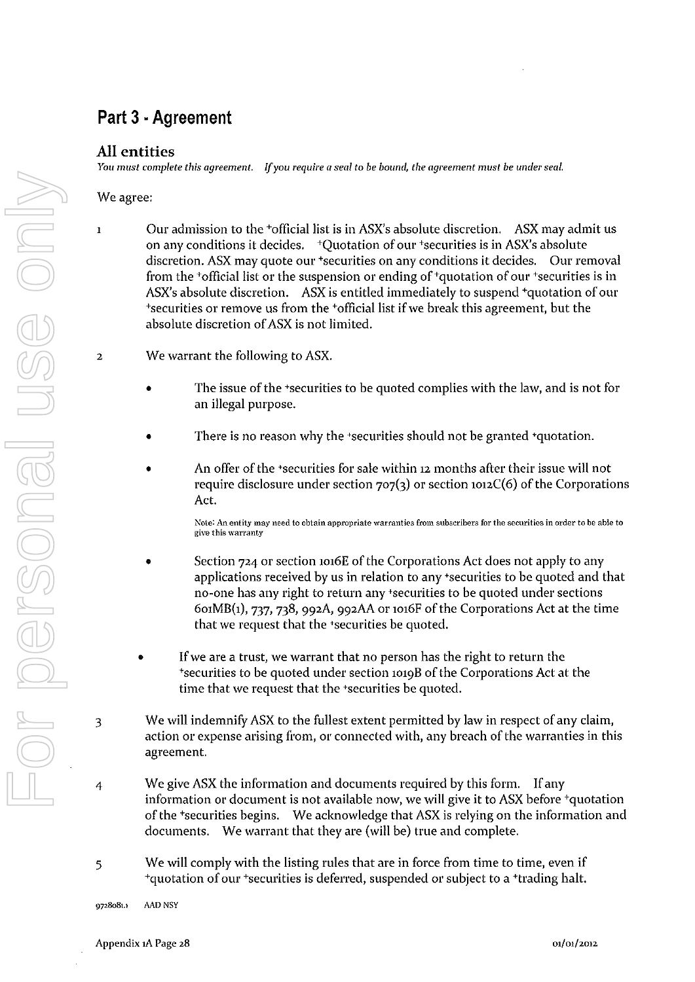# **Part 3 . Agreement**

#### **All entities**

**You must** *complete this agreement. If you require a seal to be bound, the agreement must be under seal.* 

We agree:

- 1 Our admission to the +officiallist is in ASX's absolute discretion. ASX may admit us on any conditions it decides. +Quotation of our +securities is in ASX's absolute discretion. ASX may quote our 'securities on any conditions it decides. Our removal from the  $\overline{a}$ -official list or the suspension or ending of  $\overline{a}$ -quotation of our  $\overline{a}$ -securities is in ASX's absolute discretion. ASX is entitled immediately to suspend 'quotation of our +securities 01' remove us from the +officiallist if we break this agreement, but the absolute discretion of ASX is not limited.
- 2 We warrant the following to ASX.
	- The issue of the 'securities to be quoted complies with the law, and is not for an illegal purpose.
	- There is no reason why the 'securities should not be granted 'quotation.
	- An offer of the 'securities for sale within 12 months after their issue will not require disclosure under section  $707(3)$  or section  $1012C(6)$  of the Corporations Act.

**Note: An entity may need to obtain appropriate warranties from subscribers for the securities in order to be able to give this warranty** 

- Section 724 or section 1016E of the Corporations Act does not apply to any applications received by us in relation to any 'securities to be quoted and that no-one has any right to return any 'securities to be quoted under sections  $601MB(1)$ , 737, 738, 992A, 992AA or 1016F of the Corporations Act at the time that we request that the 'securities be quoted.
- If we are a trust, we warrant that no person has the right to return the +securities to be quoted under section 1019B of the Corporations Act at the time that we request that the 'securities be quoted.
- 3 We will indemnify ASX to the fullest extent permitted by law in respect of any claim, action or expense arising from, or connected with, any breach of the warranties in this agreement.
- 4 We give ASX the information and documents required by this form. If any information or document is not available now, we will give it to ASX before +quotation of the +securities begins. We acknowledge that ASX is relying on the information and documents. We warrant that they are (will be) true and complete.
- 5 We will comply with the listing rules that are in force from time to time, even if <sup>+</sup>quotation of our <sup>+</sup>securities is deferred, suspended or subject to a <sup>+</sup>trading halt.

**9728081.1 MD NSY**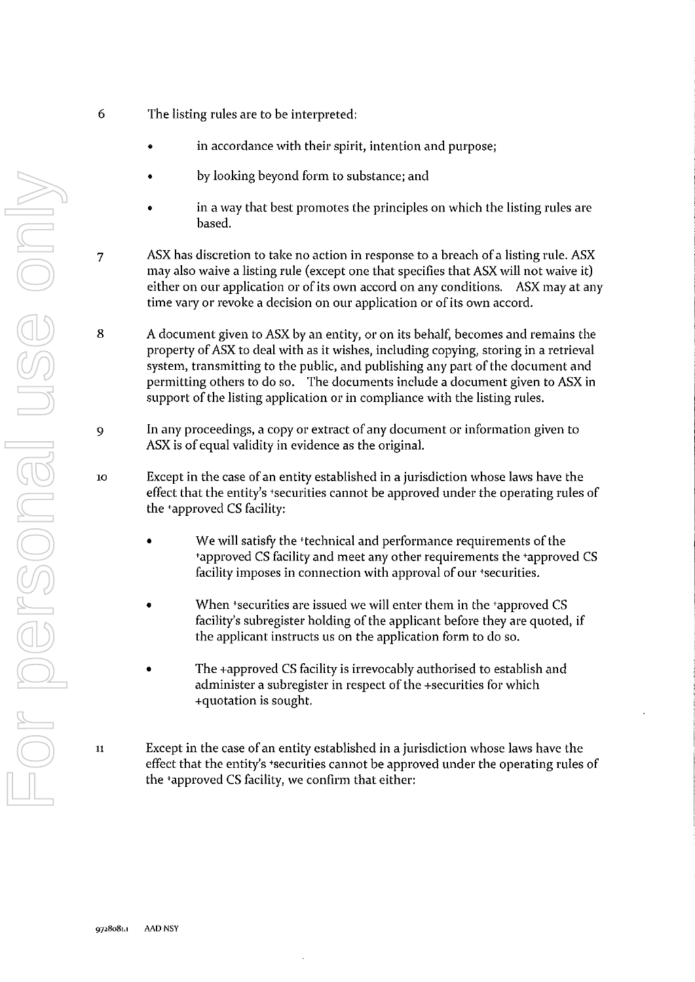- 6 The listing rules are to be interpreted:
	- in accordance with their spirit, intention and purpose;
	- by looking beyond form to substance; and
	- in a way that best promotes the principles on which the listing rules are based.
- 7 ASX has discretion to take no action in response to a breach of a listing rule. ASX may also waive a listing rule (except one that specifies that ASX will not waive it) either on our application or of its own accord on any conditions. ASX may at any time vary or revoke a decision on our application or of its own accord.
- 8 A document given to ASX by an entity, or on its behalf, becomes and remains the property of ASX to deal with as it wishes, including copying, storing in a retrieval system, transmitting to the public, and publishing any part of the document and permitting others to do so. The documents include a document given to ASX in support of the listing application or in compliance with the listing rules.
- 9 In any proceedings, a copy or extract of any document or information given to ASX is of equal validity in evidence as the original.
- 10 Except in the case of an entity established in a jurisdiction whose laws have the effect that the entity's +securities cannot be approved under the operating rules of the +approved CS facility:
	- We will satisfy the <sup>+</sup>technical and performance requirements of the +approved CS facility and meet any other requirements the +approved CS facility imposes in connection with approval of our +securities.
	- When +securities are issued we will enter them in the +approved CS facility's subregister holding of the applicant before they are quoted, if the applicant instructs us on the application form to do so.
	- The +approved CS facility is irrevocably authorised to establish and administer a subregister in respect of the +securities for which +quotation is sought.
- <sup>11</sup>Except in the case of an entity established in a jurisdiction whose laws have the effect that the entity's +securities cannot be approved under the operating rules of the +approved CS facility, we confirm that either: